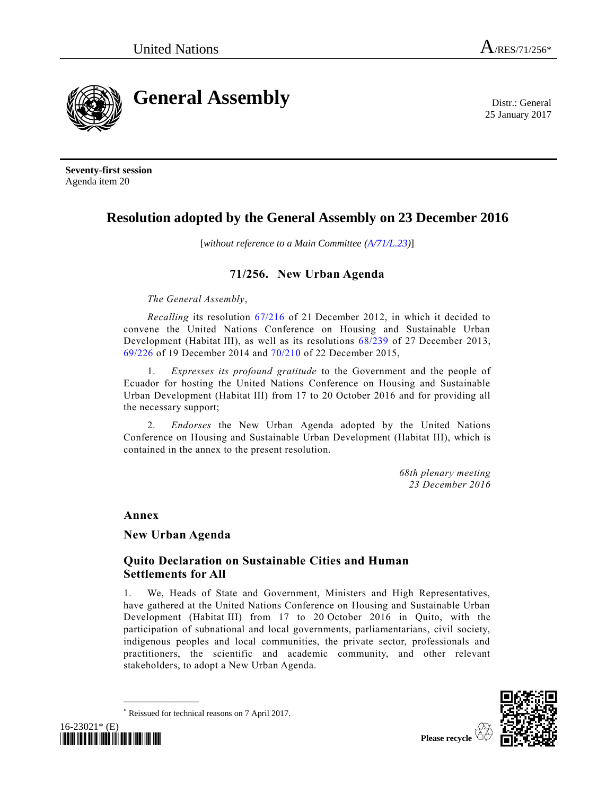25 January 2017



**Seventy-first session** Agenda item 20

# **Resolution adopted by the General Assembly on 23 December 2016**

[*without reference to a Main Committee [\(A/71/L.23\)](http://undocs.org/A/71/L.23)*]

# **71/256. New Urban Agenda**

*The General Assembly*,

*Recalling* its resolution [67/216](http://undocs.org/A/RES/67/216) of 21 December 2012, in which it decided to convene the United Nations Conference on Housing and Sustainable Urban Development (Habitat III), as well as its resolutions [68/239](http://undocs.org/A/RES/68/239) of 27 December 2013, [69/226](http://undocs.org/A/RES/69/226) of 19 December 2014 and [70/210](http://undocs.org/A/RES/70/210) of 22 December 2015,

1. *Expresses its profound gratitude* to the Government and the people of Ecuador for hosting the United Nations Conference on Housing and Sustainable Urban Development (Habitat III) from 17 to 20 October 2016 and for providing all the necessary support;

2. *Endorses* the New Urban Agenda adopted by the United Nations Conference on Housing and Sustainable Urban Development (Habitat III), which is contained in the annex to the present resolution.

> *68th plenary meeting 23 December 2016*

**Annex**

 $16-23021*$  (E)

**New Urban Agenda**

# **Quito Declaration on Sustainable Cities and Human Settlements for All**

1. We, Heads of State and Government, Ministers and High Representatives, have gathered at the United Nations Conference on Housing and Sustainable Urban Development (Habitat III) from 17 to 20 October 2016 in Quito, with the participation of subnational and local governments, parliamentarians, civil society, indigenous peoples and local communities, the private sector, professionals and practitioners, the scientific and academic community, and other relevant stakeholders, to adopt a New Urban Agenda.





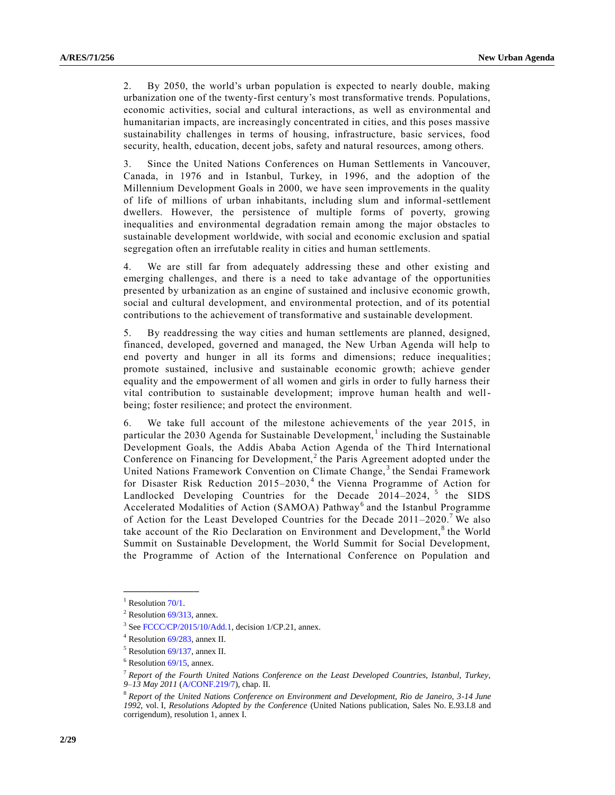2. By 2050, the world's urban population is expected to nearly double, making urbanization one of the twenty-first century's most transformative trends. Populations, economic activities, social and cultural interactions, as well as environmental and humanitarian impacts, are increasingly concentrated in cities, and this poses massive sustainability challenges in terms of housing, infrastructure, basic services, food security, health, education, decent jobs, safety and natural resources, among others.

3. Since the United Nations Conferences on Human Settlements in Vancouver, Canada, in 1976 and in Istanbul, Turkey, in 1996, and the adoption of the Millennium Development Goals in 2000, we have seen improvements in the quality of life of millions of urban inhabitants, including slum and informal-settlement dwellers. However, the persistence of multiple forms of poverty, growing inequalities and environmental degradation remain among the major obstacles to sustainable development worldwide, with social and economic exclusion and spatial segregation often an irrefutable reality in cities and human settlements.

4. We are still far from adequately addressing these and other existing and emerging challenges, and there is a need to take advantage of the opportunities presented by urbanization as an engine of sustained and inclusive economic growth, social and cultural development, and environmental protection, and of its potential contributions to the achievement of transformative and sustainable development.

5. By readdressing the way cities and human settlements are planned, designed, financed, developed, governed and managed, the New Urban Agenda will help to end poverty and hunger in all its forms and dimensions; reduce inequalities; promote sustained, inclusive and sustainable economic growth; achieve gender equality and the empowerment of all women and girls in order to fully harness their vital contribution to sustainable development; improve human health and wellbeing; foster resilience; and protect the environment.

6. We take full account of the milestone achievements of the year 2015, in particular the 2030 Agenda for Sustainable Development,<sup>1</sup> including the Sustainable Development Goals, the Addis Ababa Action Agenda of the Third International Conference on Financing for Development,<sup>2</sup> the Paris Agreement adopted under the United Nations Framework Convention on Climate Change,<sup>3</sup> the Sendai Framework for Disaster Risk Reduction 2015-2030,<sup>4</sup> the Vienna Programme of Action for Landlocked Developing Countries for the Decade  $2014-2024$ , <sup>5</sup> the SIDS Accelerated Modalities of Action (SAMOA) Pathway<sup>6</sup> and the Istanbul Programme of Action for the Least Developed Countries for the Decade  $2011-2020$ .<sup>7</sup> We also take account of the Rio Declaration on Environment and Development,<sup>8</sup> the World Summit on Sustainable Development, the World Summit for Social Development, the Programme of Action of the International Conference on Population and

Resolution [70/1.](http://undocs.org/A/RES/70/1)

 $2$  Resolution [69/313,](http://undocs.org/A/RES/69/313) annex.

 $3$  Se[e FCCC/CP/2015/10/Add.1,](http://undocs.org/FCCC/CP/2015/10/Add.1) decision 1/CP.21, annex.

 $4$  Resolution [69/283,](http://undocs.org/A/RES/69/283) annex II.

 $<sup>5</sup>$  Resolution [69/137,](http://undocs.org/A/RES/69/137) annex II.</sup>

 $6$  Resolution  $69/15$ , annex.

<sup>7</sup> *Report of the Fourth United Nations Conference on the Least Developed Countries, Istanbul, Turkey, 9–13 May 2011* [\(A/CONF.219/7\)](http://undocs.org/A/CONF.219/7), chap. II.

<sup>8</sup> *Report of the United Nations Conference on Environment and Development, Rio de Janeiro, 3-14 June 1992*, vol. I, *Resolutions Adopted by the Conference* (United Nations publication, Sales No. E.93.I.8 and corrigendum), resolution 1, annex I.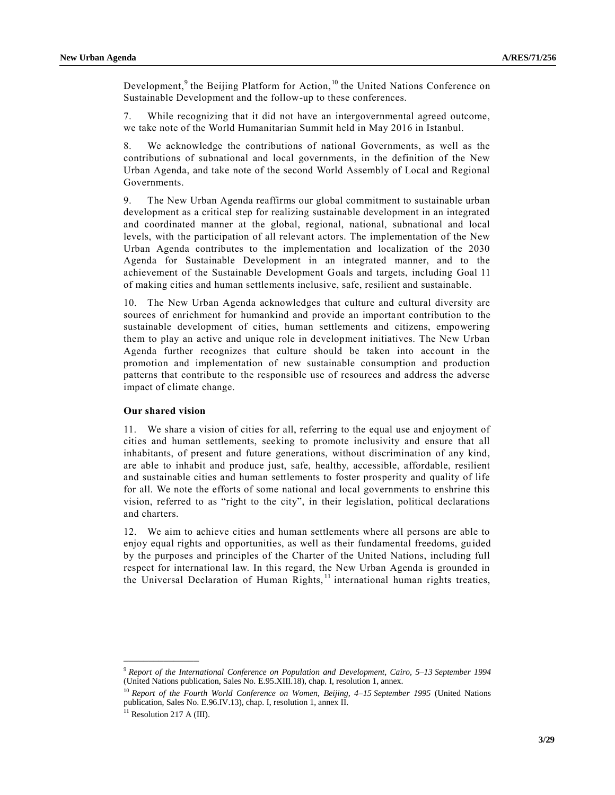Development,<sup>9</sup> the Beijing Platform for Action,<sup>10</sup> the United Nations Conference on Sustainable Development and the follow-up to these conferences.

7. While recognizing that it did not have an intergovernmental agreed outcome, we take note of the World Humanitarian Summit held in May 2016 in Istanbul.

8. We acknowledge the contributions of national Governments, as well as the contributions of subnational and local governments, in the definition of the New Urban Agenda, and take note of the second World Assembly of Local and Regional Governments.

9. The New Urban Agenda reaffirms our global commitment to sustainable urban development as a critical step for realizing sustainable development in an integrated and coordinated manner at the global, regional, national, subnational and local levels, with the participation of all relevant actors. The implementation of the New Urban Agenda contributes to the implementation and localization of the 2030 Agenda for Sustainable Development in an integrated manner, and to the achievement of the Sustainable Development Goals and targets, including Goal 11 of making cities and human settlements inclusive, safe, resilient and sustainable.

10. The New Urban Agenda acknowledges that culture and cultural diversity are sources of enrichment for humankind and provide an important contribution to the sustainable development of cities, human settlements and citizens, empowering them to play an active and unique role in development initiatives. The New Urban Agenda further recognizes that culture should be taken into account in the promotion and implementation of new sustainable consumption and production patterns that contribute to the responsible use of resources and address the adverse impact of climate change.

# **Our shared vision**

11. We share a vision of cities for all, referring to the equal use and enjoyment of cities and human settlements, seeking to promote inclusivity and ensure that all inhabitants, of present and future generations, without discrimination of any kind, are able to inhabit and produce just, safe, healthy, accessible, affordable, resilient and sustainable cities and human settlements to foster prosperity and quality of life for all. We note the efforts of some national and local governments to enshrine this vision, referred to as "right to the city", in their legislation, political declarations and charters.

12. We aim to achieve cities and human settlements where all persons are able to enjoy equal rights and opportunities, as well as their fundamental freedoms, gu ided by the purposes and principles of the Charter of the United Nations, including full respect for international law. In this regard, the New Urban Agenda is grounded in the Universal Declaration of Human Rights,<sup>11</sup> international human rights treaties,

<sup>9</sup> *Report of the International Conference on Population and Development, Cairo, 5–13 September 1994* (United Nations publication, Sales No. E.95.XIII.18), chap. I, resolution 1, annex.

<sup>10</sup> *Report of the Fourth World Conference on Women, Beijing, 4–15 September 1995* (United Nations publication, Sales No. E.96.IV.13), chap. I, resolution 1, annex II.

 $11$  Resolution 217 A (III).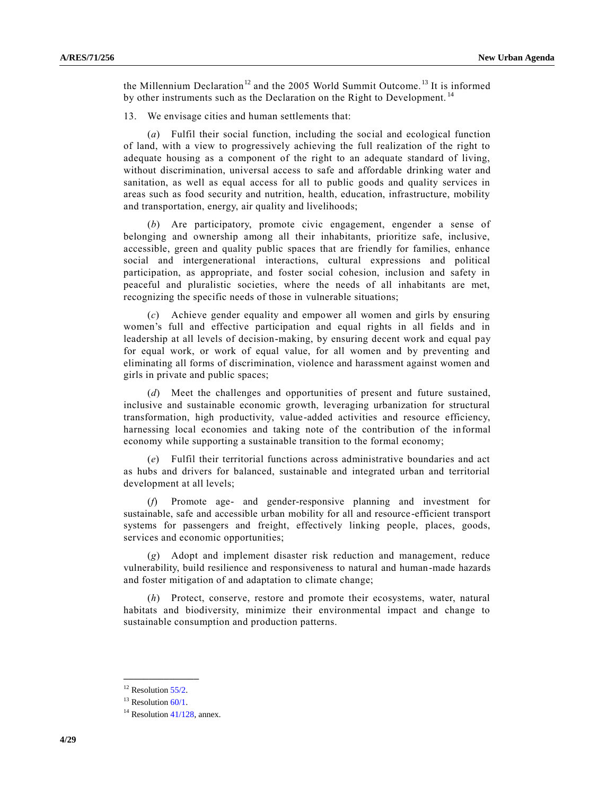the Millennium Declaration<sup>12</sup> and the 2005 World Summit Outcome.<sup>13</sup> It is informed by other instruments such as the Declaration on the Right to Development. <sup>14</sup>

13. We envisage cities and human settlements that:

(*a*) Fulfil their social function, including the social and ecological function of land, with a view to progressively achieving the full realization of the right to adequate housing as a component of the right to an adequate standard of living, without discrimination, universal access to safe and affordable drinking water and sanitation, as well as equal access for all to public goods and quality services in areas such as food security and nutrition, health, education, infrastructure, mobility and transportation, energy, air quality and livelihoods;

(*b*) Are participatory, promote civic engagement, engender a sense of belonging and ownership among all their inhabitants, prioritize safe, inclusive, accessible, green and quality public spaces that are friendly for families, enhance social and intergenerational interactions, cultural expressions and political participation, as appropriate, and foster social cohesion, inclusion and safety in peaceful and pluralistic societies, where the needs of all inhabitants are met, recognizing the specific needs of those in vulnerable situations;

(*c*) Achieve gender equality and empower all women and girls by ensuring women's full and effective participation and equal rights in all fields and in leadership at all levels of decision-making, by ensuring decent work and equal pay for equal work, or work of equal value, for all women and by preventing and eliminating all forms of discrimination, violence and harassment against women and girls in private and public spaces;

(*d*) Meet the challenges and opportunities of present and future sustained, inclusive and sustainable economic growth, leveraging urbanization for structural transformation, high productivity, value-added activities and resource efficiency, harnessing local economies and taking note of the contribution of the informal economy while supporting a sustainable transition to the formal economy;

(*e*) Fulfil their territorial functions across administrative boundaries and act as hubs and drivers for balanced, sustainable and integrated urban and territorial development at all levels;

(*f*) Promote age- and gender-responsive planning and investment for sustainable, safe and accessible urban mobility for all and resource-efficient transport systems for passengers and freight, effectively linking people, places, goods, services and economic opportunities;

(*g*) Adopt and implement disaster risk reduction and management, reduce vulnerability, build resilience and responsiveness to natural and human-made hazards and foster mitigation of and adaptation to climate change;

(*h*) Protect, conserve, restore and promote their ecosystems, water, natural habitats and biodiversity, minimize their environmental impact and change to sustainable consumption and production patterns.

 $12$  Resolutio[n 55/2.](http://undocs.org/A/RES/55/2)

 $13$  Resolution  $60/1$ .

 $14$  Resolutio[n 41/128,](http://undocs.org/A/RES/41/128) annex.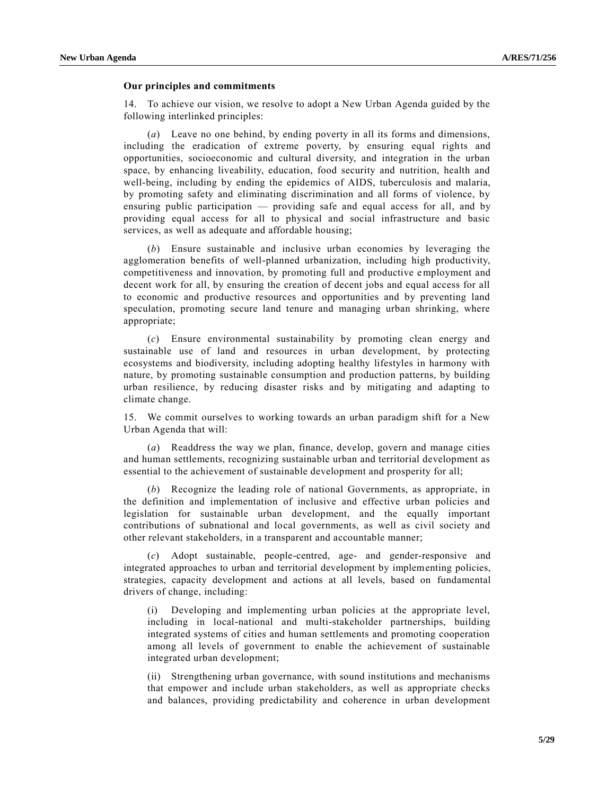#### **Our principles and commitments**

14. To achieve our vision, we resolve to adopt a New Urban Agenda guided by the following interlinked principles:

(*a*) Leave no one behind, by ending poverty in all its forms and dimensions, including the eradication of extreme poverty, by ensuring equal rights and opportunities, socioeconomic and cultural diversity, and integration in the urban space, by enhancing liveability, education, food security and nutrition, health and well-being, including by ending the epidemics of AIDS, tuberculosis and malaria, by promoting safety and eliminating discrimination and all forms of violence, by ensuring public participation — providing safe and equal access for all, and by providing equal access for all to physical and social infrastructure and basic services, as well as adequate and affordable housing;

(*b*) Ensure sustainable and inclusive urban economies by leveraging the agglomeration benefits of well-planned urbanization, including high productivity, competitiveness and innovation, by promoting full and productive employment and decent work for all, by ensuring the creation of decent jobs and equal access for all to economic and productive resources and opportunities and by preventing land speculation, promoting secure land tenure and managing urban shrinking, where appropriate;

(*c*) Ensure environmental sustainability by promoting clean energy and sustainable use of land and resources in urban development, by protecting ecosystems and biodiversity, including adopting healthy lifestyles in harmony with nature, by promoting sustainable consumption and production patterns, by building urban resilience, by reducing disaster risks and by mitigating and adapting to climate change.

15. We commit ourselves to working towards an urban paradigm shift for a New Urban Agenda that will:

(*a*) Readdress the way we plan, finance, develop, govern and manage cities and human settlements, recognizing sustainable urban and territorial development as essential to the achievement of sustainable development and prosperity for all;

(*b*) Recognize the leading role of national Governments, as appropriate, in the definition and implementation of inclusive and effective urban policies and legislation for sustainable urban development, and the equally important contributions of subnational and local governments, as well as civil society and other relevant stakeholders, in a transparent and accountable manner;

(*c*) Adopt sustainable, people-centred, age- and gender-responsive and integrated approaches to urban and territorial development by implementing policies, strategies, capacity development and actions at all levels, based on fundamental drivers of change, including:

(i) Developing and implementing urban policies at the appropriate level, including in local-national and multi-stakeholder partnerships, building integrated systems of cities and human settlements and promoting cooperation among all levels of government to enable the achievement of sustainable integrated urban development;

(ii) Strengthening urban governance, with sound institutions and mechanisms that empower and include urban stakeholders, as well as appropriate checks and balances, providing predictability and coherence in urban development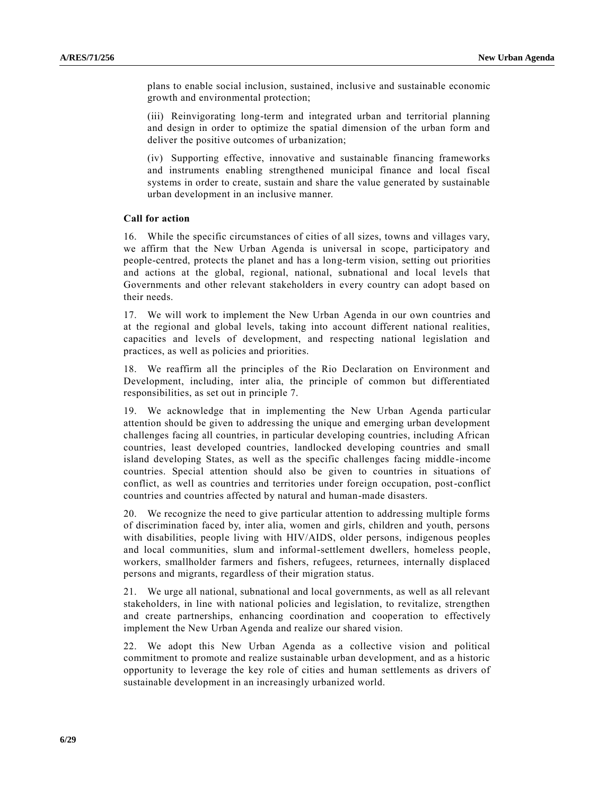plans to enable social inclusion, sustained, inclusive and sustainable economic growth and environmental protection;

(iii) Reinvigorating long-term and integrated urban and territorial planning and design in order to optimize the spatial dimension of the urban form and deliver the positive outcomes of urbanization;

(iv) Supporting effective, innovative and sustainable financing frameworks and instruments enabling strengthened municipal finance and local fiscal systems in order to create, sustain and share the value generated by sustainable urban development in an inclusive manner.

# **Call for action**

16. While the specific circumstances of cities of all sizes, towns and villages vary, we affirm that the New Urban Agenda is universal in scope, participatory and people-centred, protects the planet and has a long-term vision, setting out priorities and actions at the global, regional, national, subnational and local levels that Governments and other relevant stakeholders in every country can adopt based on their needs.

17. We will work to implement the New Urban Agenda in our own countries and at the regional and global levels, taking into account different national realities, capacities and levels of development, and respecting national legislation and practices, as well as policies and priorities.

18. We reaffirm all the principles of the Rio Declaration on Environment and Development, including, inter alia, the principle of common but differentiated responsibilities, as set out in principle 7.

19. We acknowledge that in implementing the New Urban Agenda particular attention should be given to addressing the unique and emerging urban development challenges facing all countries, in particular developing countries, including African countries, least developed countries, landlocked developing countries and small island developing States, as well as the specific challenges facing middle -income countries. Special attention should also be given to countries in situations of conflict, as well as countries and territories under foreign occupation, post-conflict countries and countries affected by natural and human-made disasters.

20. We recognize the need to give particular attention to addressing multiple forms of discrimination faced by, inter alia, women and girls, children and youth, persons with disabilities, people living with HIV/AIDS, older persons, indigenous peoples and local communities, slum and informal-settlement dwellers, homeless people, workers, smallholder farmers and fishers, refugees, returnees, internally displaced persons and migrants, regardless of their migration status.

21. We urge all national, subnational and local governments, as well as all relevant stakeholders, in line with national policies and legislation, to revitalize, strengthen and create partnerships, enhancing coordination and cooperation to effectively implement the New Urban Agenda and realize our shared vision.

22. We adopt this New Urban Agenda as a collective vision and political commitment to promote and realize sustainable urban development, and as a historic opportunity to leverage the key role of cities and human settlements as drivers of sustainable development in an increasingly urbanized world.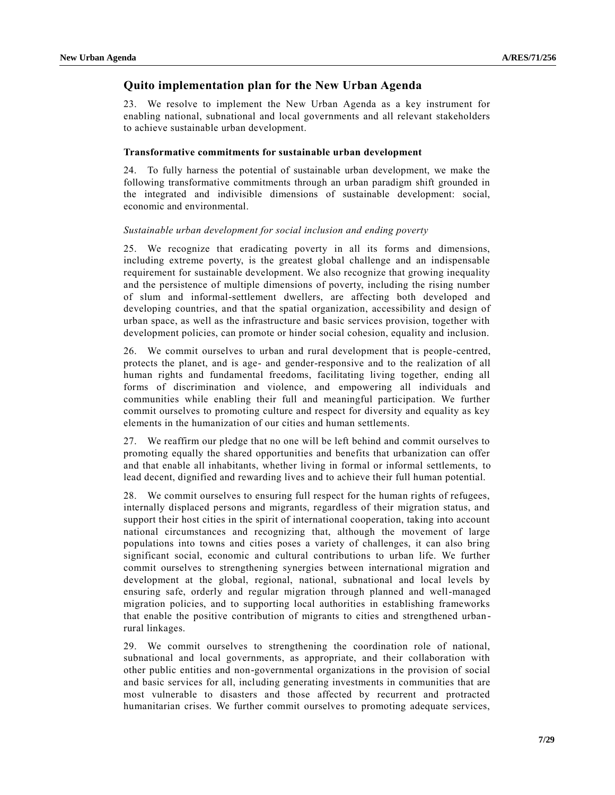# **Quito implementation plan for the New Urban Agenda**

23. We resolve to implement the New Urban Agenda as a key instrument for enabling national, subnational and local governments and all relevant stakeholders to achieve sustainable urban development.

#### **Transformative commitments for sustainable urban development**

24. To fully harness the potential of sustainable urban development, we make the following transformative commitments through an urban paradigm shift grounded in the integrated and indivisible dimensions of sustainable development: social, economic and environmental.

#### *Sustainable urban development for social inclusion and ending poverty*

25. We recognize that eradicating poverty in all its forms and dimensions, including extreme poverty, is the greatest global challenge and an indispensable requirement for sustainable development. We also recognize that growing inequality and the persistence of multiple dimensions of poverty, including the rising number of slum and informal-settlement dwellers, are affecting both developed and developing countries, and that the spatial organization, accessibility and design of urban space, as well as the infrastructure and basic services provision, together with development policies, can promote or hinder social cohesion, equality and inclusion.

26. We commit ourselves to urban and rural development that is people-centred, protects the planet, and is age- and gender-responsive and to the realization of all human rights and fundamental freedoms, facilitating living together, ending all forms of discrimination and violence, and empowering all individuals and communities while enabling their full and meaningful participation. We further commit ourselves to promoting culture and respect for diversity and equality as key elements in the humanization of our cities and human settlements.

27. We reaffirm our pledge that no one will be left behind and commit ourselves to promoting equally the shared opportunities and benefits that urbanization can offer and that enable all inhabitants, whether living in formal or informal settlements, to lead decent, dignified and rewarding lives and to achieve their full human potential.

28. We commit ourselves to ensuring full respect for the human rights of refugees, internally displaced persons and migrants, regardless of their migration status, and support their host cities in the spirit of international cooperation, taking into account national circumstances and recognizing that, although the movement of large populations into towns and cities poses a variety of challenges, it can also bring significant social, economic and cultural contributions to urban life. We further commit ourselves to strengthening synergies between international migration and development at the global, regional, national, subnational and local levels by ensuring safe, orderly and regular migration through planned and well-managed migration policies, and to supporting local authorities in establishing frameworks that enable the positive contribution of migrants to cities and strengthened urban rural linkages.

29. We commit ourselves to strengthening the coordination role of national, subnational and local governments, as appropriate, and their collaboration with other public entities and non-governmental organizations in the provision of social and basic services for all, including generating investments in communities that are most vulnerable to disasters and those affected by recurrent and protracted humanitarian crises. We further commit ourselves to promoting adequate services,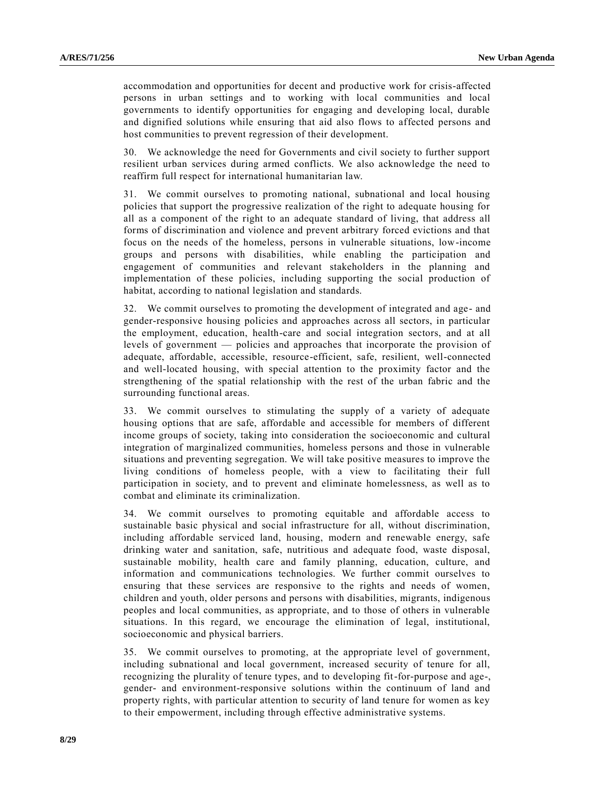accommodation and opportunities for decent and productive work for crisis-affected persons in urban settings and to working with local communities and local governments to identify opportunities for engaging and developing local, durable and dignified solutions while ensuring that aid also flows to affected persons and host communities to prevent regression of their development.

30. We acknowledge the need for Governments and civil society to further support resilient urban services during armed conflicts. We also acknowledge the need to reaffirm full respect for international humanitarian law.

31. We commit ourselves to promoting national, subnational and local housing policies that support the progressive realization of the right to adequate housing for all as a component of the right to an adequate standard of living, that address all forms of discrimination and violence and prevent arbitrary forced evictions and that focus on the needs of the homeless, persons in vulnerable situations, low-income groups and persons with disabilities, while enabling the participation and engagement of communities and relevant stakeholders in the planning and implementation of these policies, including supporting the social production of habitat, according to national legislation and standards.

32. We commit ourselves to promoting the development of integrated and age- and gender-responsive housing policies and approaches across all sectors, in particular the employment, education, health-care and social integration sectors, and at all levels of government — policies and approaches that incorporate the provision of adequate, affordable, accessible, resource-efficient, safe, resilient, well-connected and well-located housing, with special attention to the proximity factor and the strengthening of the spatial relationship with the rest of the urban fabric and the surrounding functional areas.

33. We commit ourselves to stimulating the supply of a variety of adequate housing options that are safe, affordable and accessible for members of different income groups of society, taking into consideration the socioeconomic and cultural integration of marginalized communities, homeless persons and those in vulnerable situations and preventing segregation. We will take positive measures to improve the living conditions of homeless people, with a view to facilitating their full participation in society, and to prevent and eliminate homelessness, as well as to combat and eliminate its criminalization.

34. We commit ourselves to promoting equitable and affordable access to sustainable basic physical and social infrastructure for all, without discrimination, including affordable serviced land, housing, modern and renewable energy, safe drinking water and sanitation, safe, nutritious and adequate food, waste disposal, sustainable mobility, health care and family planning, education, culture, and information and communications technologies. We further commit ourselves to ensuring that these services are responsive to the rights and needs of women, children and youth, older persons and persons with disabilities, migrants, indigenous peoples and local communities, as appropriate, and to those of others in vulnerable situations. In this regard, we encourage the elimination of legal, institutional, socioeconomic and physical barriers.

35. We commit ourselves to promoting, at the appropriate level of government, including subnational and local government, increased security of tenure for all, recognizing the plurality of tenure types, and to developing fit-for-purpose and age-, gender- and environment-responsive solutions within the continuum of land and property rights, with particular attention to security of land tenure for women as key to their empowerment, including through effective administrative systems.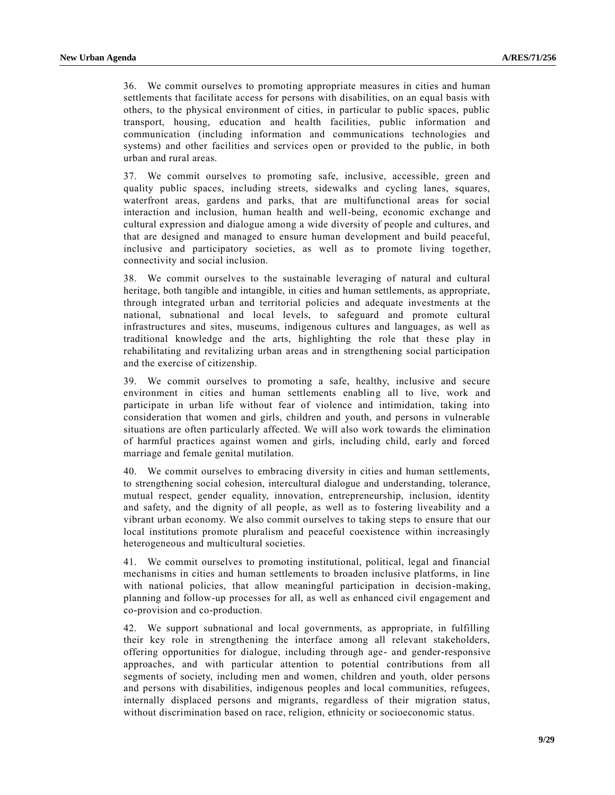36. We commit ourselves to promoting appropriate measures in cities and human settlements that facilitate access for persons with disabilities, on an equal basis with others, to the physical environment of cities, in particular to public spaces, public transport, housing, education and health facilities, public information and communication (including information and communications technologies and systems) and other facilities and services open or provided to the public, in both urban and rural areas.

37. We commit ourselves to promoting safe, inclusive, accessible, green and quality public spaces, including streets, sidewalks and cycling lanes, squares, waterfront areas, gardens and parks, that are multifunctional areas for social interaction and inclusion, human health and well-being, economic exchange and cultural expression and dialogue among a wide diversity of people and cultures, and that are designed and managed to ensure human development and build peaceful, inclusive and participatory societies, as well as to promote living together, connectivity and social inclusion.

38. We commit ourselves to the sustainable leveraging of natural and cultural heritage, both tangible and intangible, in cities and human settlements, as appropriate, through integrated urban and territorial policies and adequate investments at the national, subnational and local levels, to safeguard and promote cultural infrastructures and sites, museums, indigenous cultures and languages, as well as traditional knowledge and the arts, highlighting the role that these play in rehabilitating and revitalizing urban areas and in strengthening social participation and the exercise of citizenship.

39. We commit ourselves to promoting a safe, healthy, inclusive and secure environment in cities and human settlements enabling all to live, work and participate in urban life without fear of violence and intimidation, taking into consideration that women and girls, children and youth, and persons in vulnerable situations are often particularly affected. We will also work towards the elimination of harmful practices against women and girls, including child, early and forced marriage and female genital mutilation.

40. We commit ourselves to embracing diversity in cities and human settlements, to strengthening social cohesion, intercultural dialogue and understanding, tolerance, mutual respect, gender equality, innovation, entrepreneurship, inclusion, identity and safety, and the dignity of all people, as well as to fostering liveability and a vibrant urban economy. We also commit ourselves to taking steps to ensure that our local institutions promote pluralism and peaceful coexistence within increasingly heterogeneous and multicultural societies.

41. We commit ourselves to promoting institutional, political, legal and financial mechanisms in cities and human settlements to broaden inclusive platforms, in line with national policies, that allow meaningful participation in decision-making, planning and follow-up processes for all, as well as enhanced civil engagement and co-provision and co-production.

42. We support subnational and local governments, as appropriate, in fulfilling their key role in strengthening the interface among all relevant stakeholders, offering opportunities for dialogue, including through age- and gender-responsive approaches, and with particular attention to potential contributions from all segments of society, including men and women, children and youth, older persons and persons with disabilities, indigenous peoples and local communities, refugees, internally displaced persons and migrants, regardless of their migration status, without discrimination based on race, religion, ethnicity or socioeconomic status.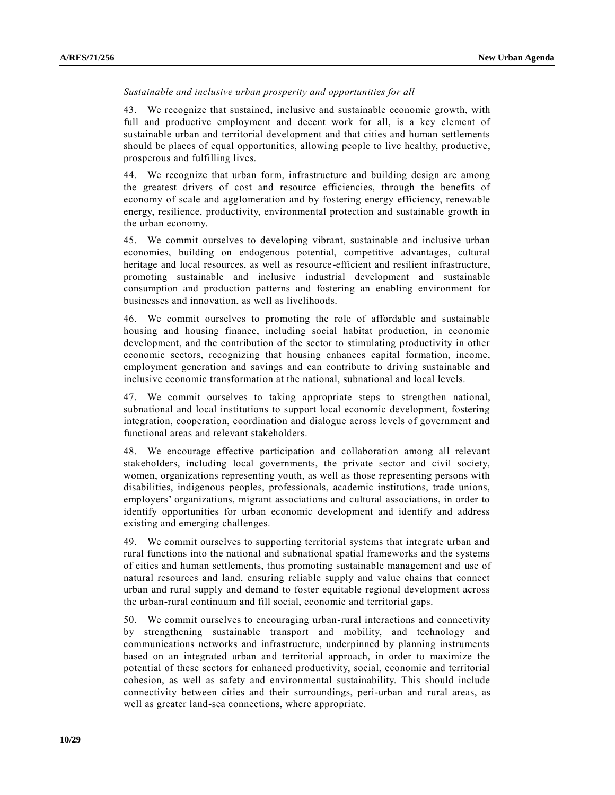# *Sustainable and inclusive urban prosperity and opportunities for all*

43. We recognize that sustained, inclusive and sustainable economic growth, with full and productive employment and decent work for all, is a key element of sustainable urban and territorial development and that cities and human settlements should be places of equal opportunities, allowing people to live healthy, productive, prosperous and fulfilling lives.

44. We recognize that urban form, infrastructure and building design are among the greatest drivers of cost and resource efficiencies, through the benefits of economy of scale and agglomeration and by fostering energy efficiency, renewable energy, resilience, productivity, environmental protection and sustainable growth in the urban economy.

45. We commit ourselves to developing vibrant, sustainable and inclusive urban economies, building on endogenous potential, competitive advantages, cultural heritage and local resources, as well as resource-efficient and resilient infrastructure, promoting sustainable and inclusive industrial development and sustainable consumption and production patterns and fostering an enabling environment for businesses and innovation, as well as livelihoods.

46. We commit ourselves to promoting the role of affordable and sustainable housing and housing finance, including social habitat production, in economic development, and the contribution of the sector to stimulating productivity in other economic sectors, recognizing that housing enhances capital formation, income, employment generation and savings and can contribute to driving sustainable and inclusive economic transformation at the national, subnational and local levels.

47. We commit ourselves to taking appropriate steps to strengthen national, subnational and local institutions to support local economic development, fostering integration, cooperation, coordination and dialogue across levels of government and functional areas and relevant stakeholders.

48. We encourage effective participation and collaboration among all relevant stakeholders, including local governments, the private sector and civil society, women, organizations representing youth, as well as those representing persons with disabilities, indigenous peoples, professionals, academic institutions, trade unions, employers' organizations, migrant associations and cultural associations, in order to identify opportunities for urban economic development and identify and address existing and emerging challenges.

49. We commit ourselves to supporting territorial systems that integrate urban and rural functions into the national and subnational spatial frameworks and the systems of cities and human settlements, thus promoting sustainable management and use of natural resources and land, ensuring reliable supply and value chains that connect urban and rural supply and demand to foster equitable regional development across the urban-rural continuum and fill social, economic and territorial gaps.

50. We commit ourselves to encouraging urban-rural interactions and connectivity by strengthening sustainable transport and mobility, and technology and communications networks and infrastructure, underpinned by planning instruments based on an integrated urban and territorial approach, in order to maximize the potential of these sectors for enhanced productivity, social, economic and territorial cohesion, as well as safety and environmental sustainability. This should include connectivity between cities and their surroundings, peri-urban and rural areas, as well as greater land-sea connections, where appropriate.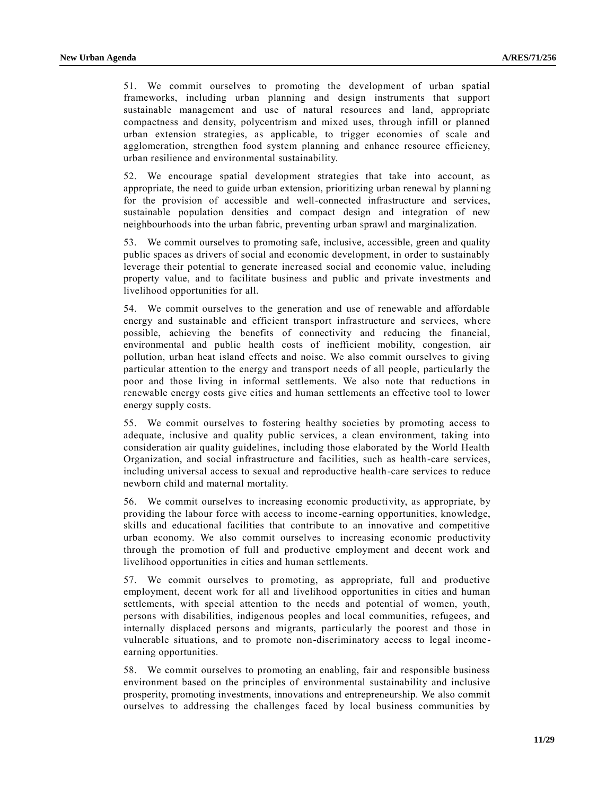51. We commit ourselves to promoting the development of urban spatial frameworks, including urban planning and design instruments that support sustainable management and use of natural resources and land, appropriate compactness and density, polycentrism and mixed uses, through infill or planned urban extension strategies, as applicable, to trigger economies of scale and agglomeration, strengthen food system planning and enhance resource efficiency, urban resilience and environmental sustainability.

52. We encourage spatial development strategies that take into account, as appropriate, the need to guide urban extension, prioritizing urban renewal by planni ng for the provision of accessible and well-connected infrastructure and services, sustainable population densities and compact design and integration of new neighbourhoods into the urban fabric, preventing urban sprawl and marginalization.

53. We commit ourselves to promoting safe, inclusive, accessible, green and quality public spaces as drivers of social and economic development, in order to sustainably leverage their potential to generate increased social and economic value, including property value, and to facilitate business and public and private investments and livelihood opportunities for all.

54. We commit ourselves to the generation and use of renewable and affordable energy and sustainable and efficient transport infrastructure and services, where possible, achieving the benefits of connectivity and reducing the financial, environmental and public health costs of inefficient mobility, congestion, air pollution, urban heat island effects and noise. We also commit ourselves to giving particular attention to the energy and transport needs of all people, particularly the poor and those living in informal settlements. We also note that reductions in renewable energy costs give cities and human settlements an effective tool to lower energy supply costs.

55. We commit ourselves to fostering healthy societies by promoting access to adequate, inclusive and quality public services, a clean environment, taking into consideration air quality guidelines, including those elaborated by the World Health Organization, and social infrastructure and facilities, such as health-care services, including universal access to sexual and reproductive health-care services to reduce newborn child and maternal mortality.

56. We commit ourselves to increasing economic productivity, as appropriate, by providing the labour force with access to income-earning opportunities, knowledge, skills and educational facilities that contribute to an innovative and competitive urban economy. We also commit ourselves to increasing economic productivity through the promotion of full and productive employment and decent work and livelihood opportunities in cities and human settlements.

57. We commit ourselves to promoting, as appropriate, full and productive employment, decent work for all and livelihood opportunities in cities and human settlements, with special attention to the needs and potential of women, youth, persons with disabilities, indigenous peoples and local communities, refugees, and internally displaced persons and migrants, particularly the poorest and those in vulnerable situations, and to promote non-discriminatory access to legal incomeearning opportunities.

58. We commit ourselves to promoting an enabling, fair and responsible business environment based on the principles of environmental sustainability and inclusive prosperity, promoting investments, innovations and entrepreneurship. We also commit ourselves to addressing the challenges faced by local business communities by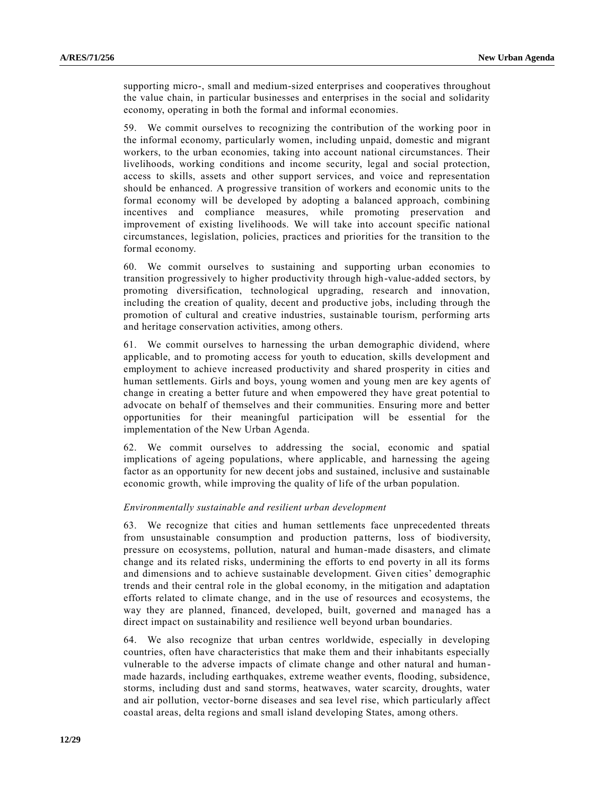supporting micro-, small and medium-sized enterprises and cooperatives throughout the value chain, in particular businesses and enterprises in the social and solidarity economy, operating in both the formal and informal economies.

59. We commit ourselves to recognizing the contribution of the working poor in the informal economy, particularly women, including unpaid, domestic and migrant workers, to the urban economies, taking into account national circumstances. Their livelihoods, working conditions and income security, legal and social protection, access to skills, assets and other support services, and voice and representation should be enhanced. A progressive transition of workers and economic units to the formal economy will be developed by adopting a balanced approach, combining incentives and compliance measures, while promoting preservation and improvement of existing livelihoods. We will take into account specific national circumstances, legislation, policies, practices and priorities for the transition to the formal economy.

60. We commit ourselves to sustaining and supporting urban economies to transition progressively to higher productivity through high-value-added sectors, by promoting diversification, technological upgrading, research and innovation, including the creation of quality, decent and productive jobs, including through the promotion of cultural and creative industries, sustainable tourism, performing arts and heritage conservation activities, among others.

61. We commit ourselves to harnessing the urban demographic dividend, where applicable, and to promoting access for youth to education, skills development and employment to achieve increased productivity and shared prosperity in cities and human settlements. Girls and boys, young women and young men are key agents of change in creating a better future and when empowered they have great potential to advocate on behalf of themselves and their communities. Ensuring more and better opportunities for their meaningful participation will be essential for the implementation of the New Urban Agenda.

62. We commit ourselves to addressing the social, economic and spatial implications of ageing populations, where applicable, and harnessing the ageing factor as an opportunity for new decent jobs and sustained, inclusive and sustainable economic growth, while improving the quality of life of the urban population.

#### *Environmentally sustainable and resilient urban development*

63. We recognize that cities and human settlements face unprecedented threats from unsustainable consumption and production patterns, loss of biodiversity, pressure on ecosystems, pollution, natural and human-made disasters, and climate change and its related risks, undermining the efforts to end poverty in all its forms and dimensions and to achieve sustainable development. Given cities' demographic trends and their central role in the global economy, in the mitigation and adaptation efforts related to climate change, and in the use of resources and ecosystems, the way they are planned, financed, developed, built, governed and managed has a direct impact on sustainability and resilience well beyond urban boundaries.

64. We also recognize that urban centres worldwide, especially in developing countries, often have characteristics that make them and their inhabitants especially vulnerable to the adverse impacts of climate change and other natural and human made hazards, including earthquakes, extreme weather events, flooding, subsidence, storms, including dust and sand storms, heatwaves, water scarcity, droughts, water and air pollution, vector-borne diseases and sea level rise, which particularly affect coastal areas, delta regions and small island developing States, among others.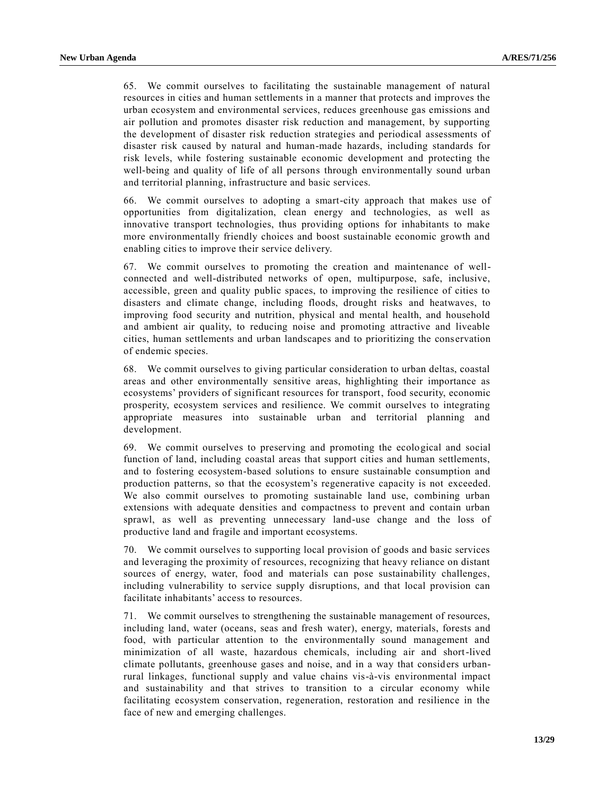65. We commit ourselves to facilitating the sustainable management of natural resources in cities and human settlements in a manner that protects and improves the urban ecosystem and environmental services, reduces greenhouse gas emissions and air pollution and promotes disaster risk reduction and management, by supporting the development of disaster risk reduction strategies and periodical assessments of disaster risk caused by natural and human-made hazards, including standards for risk levels, while fostering sustainable economic development and protecting the well-being and quality of life of all persons through environmentally sound urban and territorial planning, infrastructure and basic services.

66. We commit ourselves to adopting a smart-city approach that makes use of opportunities from digitalization, clean energy and technologies, as well as innovative transport technologies, thus providing options for inhabitants to make more environmentally friendly choices and boost sustainable economic growth and enabling cities to improve their service delivery.

67. We commit ourselves to promoting the creation and maintenance of wellconnected and well-distributed networks of open, multipurpose, safe, inclusive, accessible, green and quality public spaces, to improving the resilience of cities to disasters and climate change, including floods, drought risks and heatwaves, to improving food security and nutrition, physical and mental health, and household and ambient air quality, to reducing noise and promoting attractive and liveable cities, human settlements and urban landscapes and to prioritizing the cons ervation of endemic species.

68. We commit ourselves to giving particular consideration to urban deltas, coastal areas and other environmentally sensitive areas, highlighting their importance as ecosystems' providers of significant resources for transport, food security, economic prosperity, ecosystem services and resilience. We commit ourselves to integrating appropriate measures into sustainable urban and territorial planning and development.

69. We commit ourselves to preserving and promoting the ecological and social function of land, including coastal areas that support cities and human settlements, and to fostering ecosystem-based solutions to ensure sustainable consumption and production patterns, so that the ecosystem's regenerative capacity is not exceeded. We also commit ourselves to promoting sustainable land use, combining urban extensions with adequate densities and compactness to prevent and contain urban sprawl, as well as preventing unnecessary land-use change and the loss of productive land and fragile and important ecosystems.

70. We commit ourselves to supporting local provision of goods and basic services and leveraging the proximity of resources, recognizing that heavy reliance on distant sources of energy, water, food and materials can pose sustainability challenges, including vulnerability to service supply disruptions, and that local provision can facilitate inhabitants' access to resources.

71. We commit ourselves to strengthening the sustainable management of resources, including land, water (oceans, seas and fresh water), energy, materials, forests and food, with particular attention to the environmentally sound management and minimization of all waste, hazardous chemicals, including air and short-lived climate pollutants, greenhouse gases and noise, and in a way that considers urbanrural linkages, functional supply and value chains vis-à-vis environmental impact and sustainability and that strives to transition to a circular economy while facilitating ecosystem conservation, regeneration, restoration and resilience in the face of new and emerging challenges.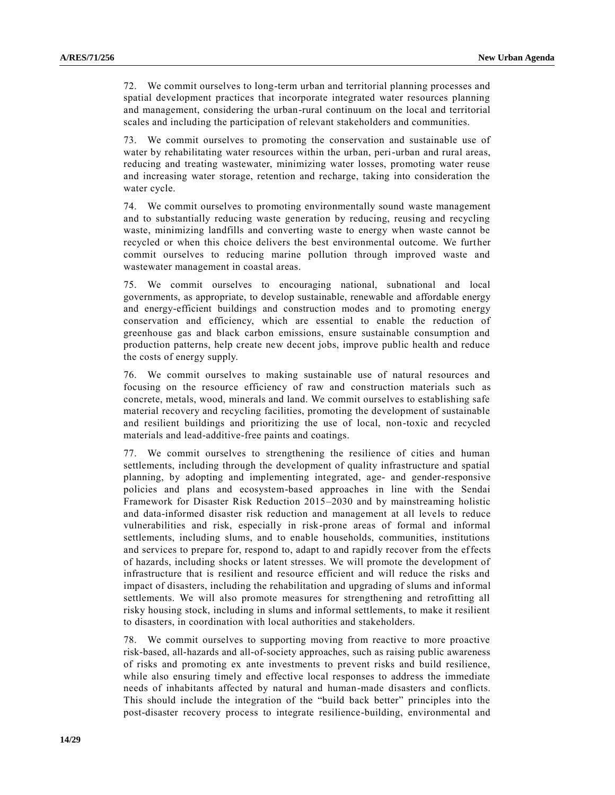72. We commit ourselves to long-term urban and territorial planning processes and spatial development practices that incorporate integrated water resources planning and management, considering the urban-rural continuum on the local and territorial scales and including the participation of relevant stakeholders and communities.

73. We commit ourselves to promoting the conservation and sustainable use of water by rehabilitating water resources within the urban, peri-urban and rural areas, reducing and treating wastewater, minimizing water losses, promoting water reuse and increasing water storage, retention and recharge, taking into consideration the water cycle.

74. We commit ourselves to promoting environmentally sound waste management and to substantially reducing waste generation by reducing, reusing and recycling waste, minimizing landfills and converting waste to energy when waste cannot be recycled or when this choice delivers the best environmental outcome. We further commit ourselves to reducing marine pollution through improved waste and wastewater management in coastal areas.

75. We commit ourselves to encouraging national, subnational and local governments, as appropriate, to develop sustainable, renewable and affordable energy and energy-efficient buildings and construction modes and to promoting energy conservation and efficiency, which are essential to enable the reduction of greenhouse gas and black carbon emissions, ensure sustainable consumption and production patterns, help create new decent jobs, improve public health and reduce the costs of energy supply.

76. We commit ourselves to making sustainable use of natural resources and focusing on the resource efficiency of raw and construction materials such as concrete, metals, wood, minerals and land. We commit ourselves to establishing safe material recovery and recycling facilities, promoting the development of sustainable and resilient buildings and prioritizing the use of local, non-toxic and recycled materials and lead-additive-free paints and coatings.

77. We commit ourselves to strengthening the resilience of cities and human settlements, including through the development of quality infrastructure and spatial planning, by adopting and implementing integrated, age- and gender-responsive policies and plans and ecosystem-based approaches in line with the Sendai Framework for Disaster Risk Reduction 2015–2030 and by mainstreaming holistic and data-informed disaster risk reduction and management at all levels to reduce vulnerabilities and risk, especially in risk-prone areas of formal and informal settlements, including slums, and to enable households, communities, institutions and services to prepare for, respond to, adapt to and rapidly recover from the effects of hazards, including shocks or latent stresses. We will promote the development of infrastructure that is resilient and resource efficient and will reduce the risks and impact of disasters, including the rehabilitation and upgrading of slums and informal settlements. We will also promote measures for strengthening and retrofitting all risky housing stock, including in slums and informal settlements, to make it resilient to disasters, in coordination with local authorities and stakeholders.

78. We commit ourselves to supporting moving from reactive to more proactive risk-based, all-hazards and all-of-society approaches, such as raising public awareness of risks and promoting ex ante investments to prevent risks and build resilience, while also ensuring timely and effective local responses to address the immediate needs of inhabitants affected by natural and human-made disasters and conflicts. This should include the integration of the "build back better" principles into the post-disaster recovery process to integrate resilience-building, environmental and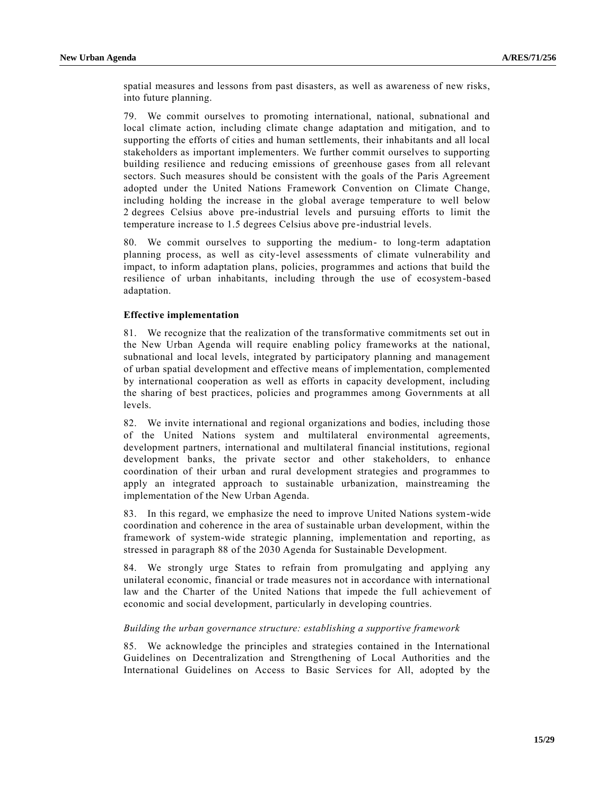spatial measures and lessons from past disasters, as well as awareness of new risks, into future planning.

79. We commit ourselves to promoting international, national, subnational and local climate action, including climate change adaptation and mitigation, and to supporting the efforts of cities and human settlements, their inhabitants and all local stakeholders as important implementers. We further commit ourselves to supporting building resilience and reducing emissions of greenhouse gases from all relevant sectors. Such measures should be consistent with the goals of the Paris Agreement adopted under the United Nations Framework Convention on Climate Change, including holding the increase in the global average temperature to well below 2 degrees Celsius above pre-industrial levels and pursuing efforts to limit the temperature increase to 1.5 degrees Celsius above pre-industrial levels.

80. We commit ourselves to supporting the medium- to long-term adaptation planning process, as well as city-level assessments of climate vulnerability and impact, to inform adaptation plans, policies, programmes and actions that build the resilience of urban inhabitants, including through the use of ecosystem-based adaptation.

# **Effective implementation**

81. We recognize that the realization of the transformative commitments set out in the New Urban Agenda will require enabling policy frameworks at the national, subnational and local levels, integrated by participatory planning and management of urban spatial development and effective means of implementation, complemented by international cooperation as well as efforts in capacity development, including the sharing of best practices, policies and programmes among Governments at all levels.

82. We invite international and regional organizations and bodies, including those of the United Nations system and multilateral environmental agreements, development partners, international and multilateral financial institutions, regional development banks, the private sector and other stakeholders, to enhance coordination of their urban and rural development strategies and programmes to apply an integrated approach to sustainable urbanization, mainstreaming the implementation of the New Urban Agenda.

83. In this regard, we emphasize the need to improve United Nations system-wide coordination and coherence in the area of sustainable urban development, within the framework of system-wide strategic planning, implementation and reporting, as stressed in paragraph 88 of the 2030 Agenda for Sustainable Development.

84. We strongly urge States to refrain from promulgating and applying any unilateral economic, financial or trade measures not in accordance with international law and the Charter of the United Nations that impede the full achievement of economic and social development, particularly in developing countries.

# *Building the urban governance structure: establishing a supportive framework*

85. We acknowledge the principles and strategies contained in the International Guidelines on Decentralization and Strengthening of Local Authorities and the International Guidelines on Access to Basic Services for All, adopted by the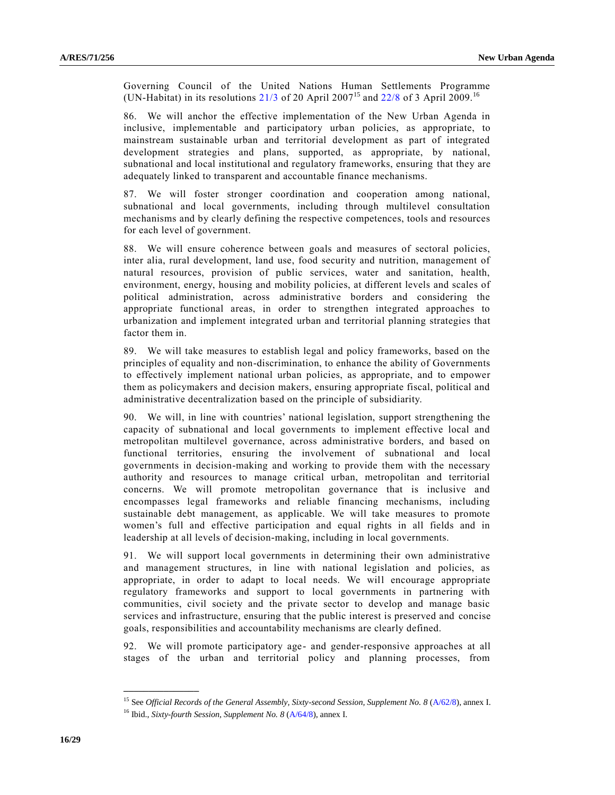Governing Council of the United Nations Human Settlements Programme (UN-Habitat) in its resolutions  $21/3$  of 20 April 2007<sup>15</sup> and [22/8](http://undocs.org/A/RES/22/8) of 3 April 2009.<sup>16</sup>

86. We will anchor the effective implementation of the New Urban Agenda in inclusive, implementable and participatory urban policies, as appropriate, to mainstream sustainable urban and territorial development as part of integrated development strategies and plans, supported, as appropriate, by national, subnational and local institutional and regulatory frameworks, ensuring that they are adequately linked to transparent and accountable finance mechanisms.

87. We will foster stronger coordination and cooperation among national, subnational and local governments, including through multilevel consultation mechanisms and by clearly defining the respective competences, tools and resources for each level of government.

88. We will ensure coherence between goals and measures of sectoral policies, inter alia, rural development, land use, food security and nutrition, management of natural resources, provision of public services, water and sanitation, health, environment, energy, housing and mobility policies, at different levels and scales of political administration, across administrative borders and considering the appropriate functional areas, in order to strengthen integrated approaches to urbanization and implement integrated urban and territorial planning strategies that factor them in.

89. We will take measures to establish legal and policy frameworks, based on the principles of equality and non-discrimination, to enhance the ability of Governments to effectively implement national urban policies, as appropriate, and to empower them as policymakers and decision makers, ensuring appropriate fiscal, political and administrative decentralization based on the principle of subsidiarity.

90. We will, in line with countries' national legislation, support strengthening the capacity of subnational and local governments to implement effective local and metropolitan multilevel governance, across administrative borders, and based on functional territories, ensuring the involvement of subnational and local governments in decision-making and working to provide them with the necessary authority and resources to manage critical urban, metropolitan and territorial concerns. We will promote metropolitan governance that is inclusive and encompasses legal frameworks and reliable financing mechanisms, including sustainable debt management, as applicable. We will take measures to promote women's full and effective participation and equal rights in all fields and in leadership at all levels of decision-making, including in local governments.

91. We will support local governments in determining their own administrative and management structures, in line with national legislation and policies, as appropriate, in order to adapt to local needs. We will encourage appropriate regulatory frameworks and support to local governments in partnering with communities, civil society and the private sector to develop and manage basic services and infrastructure, ensuring that the public interest is preserved and concise goals, responsibilities and accountability mechanisms are clearly defined.

92. We will promote participatory age- and gender-responsive approaches at all stages of the urban and territorial policy and planning processes, from

<sup>15</sup> See *Official Records of the General Assembly, Sixty-second Session, Supplement No. 8* [\(A/62/8\)](http://undocs.org/A/62/8), annex I.

<sup>16</sup> Ibid., *Sixty-fourth Session, Supplement No. 8* [\(A/64/8\)](http://undocs.org/A/64/8), annex I.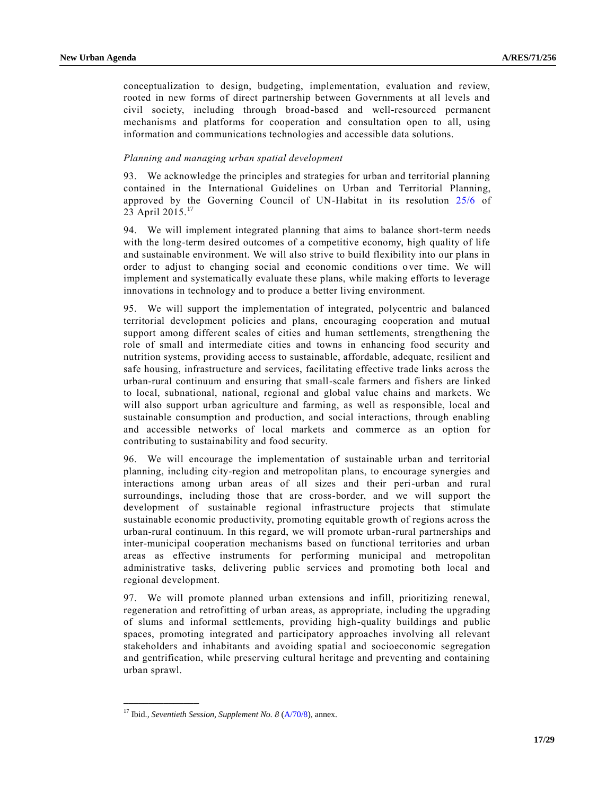conceptualization to design, budgeting, implementation, evaluation and review, rooted in new forms of direct partnership between Governments at all levels and civil society, including through broad-based and well-resourced permanent mechanisms and platforms for cooperation and consultation open to all, using information and communications technologies and accessible data solutions.

# *Planning and managing urban spatial development*

93. We acknowledge the principles and strategies for urban and territorial planning contained in the International Guidelines on Urban and Territorial Planning, approved by the Governing Council of UN-Habitat in its resolution [25/6](http://undocs.org/A/RES/25/6) of 23 April 2015.<sup>17</sup>

94. We will implement integrated planning that aims to balance short-term needs with the long-term desired outcomes of a competitive economy, high quality of life and sustainable environment. We will also strive to build flexibility into our plans in order to adjust to changing social and economic conditions over time. We will implement and systematically evaluate these plans, while making efforts to leverage innovations in technology and to produce a better living environment.

95. We will support the implementation of integrated, polycentric and balanced territorial development policies and plans, encouraging cooperation and mutual support among different scales of cities and human settlements, strengthening the role of small and intermediate cities and towns in enhancing food security and nutrition systems, providing access to sustainable, affordable, adequate, resilient and safe housing, infrastructure and services, facilitating effective trade links across the urban-rural continuum and ensuring that small-scale farmers and fishers are linked to local, subnational, national, regional and global value chains and markets. We will also support urban agriculture and farming, as well as responsible, local and sustainable consumption and production, and social interactions, through enabling and accessible networks of local markets and commerce as an option for contributing to sustainability and food security.

96. We will encourage the implementation of sustainable urban and territorial planning, including city-region and metropolitan plans, to encourage synergies and interactions among urban areas of all sizes and their peri-urban and rural surroundings, including those that are cross-border, and we will support the development of sustainable regional infrastructure projects that stimulate sustainable economic productivity, promoting equitable growth of regions across the urban-rural continuum. In this regard, we will promote urban-rural partnerships and inter-municipal cooperation mechanisms based on functional territories and urban areas as effective instruments for performing municipal and metropolitan administrative tasks, delivering public services and promoting both local and regional development.

97. We will promote planned urban extensions and infill, prioritizing renewal, regeneration and retrofitting of urban areas, as appropriate, including the upgrading of slums and informal settlements, providing high-quality buildings and public spaces, promoting integrated and participatory approaches involving all relevant stakeholders and inhabitants and avoiding spatial and socioeconomic segregation and gentrification, while preserving cultural heritage and preventing and containing urban sprawl.

<sup>&</sup>lt;sup>17</sup> Ibid., Seventieth Session, Supplement No. 8 [\(A/70/8\)](http://undocs.org/A/70/8), annex.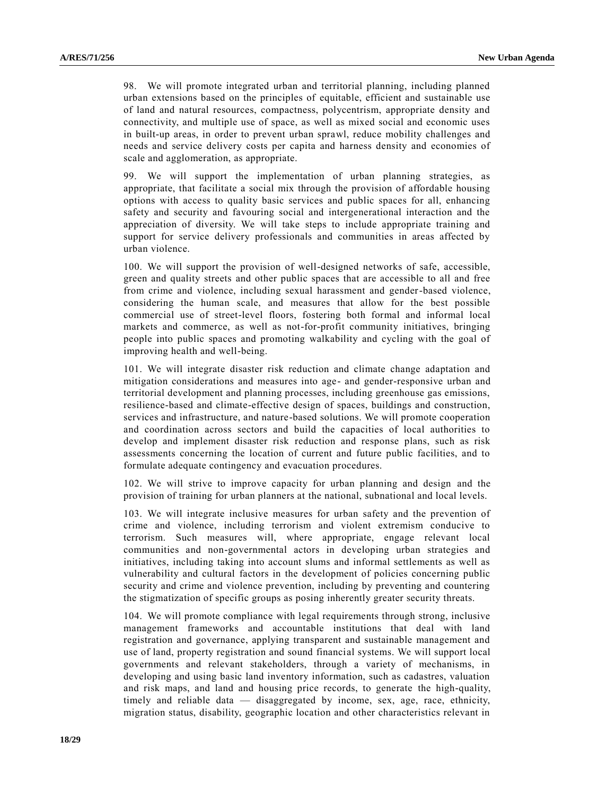98. We will promote integrated urban and territorial planning, including planned urban extensions based on the principles of equitable, efficient and sustainable use of land and natural resources, compactness, polycentrism, appropriate density and connectivity, and multiple use of space, as well as mixed social and economic uses in built-up areas, in order to prevent urban sprawl, reduce mobility challenges and needs and service delivery costs per capita and harness density and economies of scale and agglomeration, as appropriate.

99. We will support the implementation of urban planning strategies, as appropriate, that facilitate a social mix through the provision of affordable housing options with access to quality basic services and public spaces for all, enhancing safety and security and favouring social and intergenerational interaction and the appreciation of diversity. We will take steps to include appropriate training and support for service delivery professionals and communities in areas affected by urban violence.

100. We will support the provision of well-designed networks of safe, accessible, green and quality streets and other public spaces that are accessible to all and free from crime and violence, including sexual harassment and gender-based violence, considering the human scale, and measures that allow for the best possible commercial use of street-level floors, fostering both formal and informal local markets and commerce, as well as not-for-profit community initiatives, bringing people into public spaces and promoting walkability and cycling with the goal of improving health and well-being.

101. We will integrate disaster risk reduction and climate change adaptation and mitigation considerations and measures into age- and gender-responsive urban and territorial development and planning processes, including greenhouse gas emissions, resilience-based and climate-effective design of spaces, buildings and construction, services and infrastructure, and nature-based solutions. We will promote cooperation and coordination across sectors and build the capacities of local authorities to develop and implement disaster risk reduction and response plans, such as risk assessments concerning the location of current and future public facilities, and to formulate adequate contingency and evacuation procedures.

102. We will strive to improve capacity for urban planning and design and the provision of training for urban planners at the national, subnational and local levels.

103. We will integrate inclusive measures for urban safety and the prevention of crime and violence, including terrorism and violent extremism conducive to terrorism. Such measures will, where appropriate, engage relevant local communities and non-governmental actors in developing urban strategies and initiatives, including taking into account slums and informal settlements as well as vulnerability and cultural factors in the development of policies concerning public security and crime and violence prevention, including by preventing and countering the stigmatization of specific groups as posing inherently greater security threats.

104. We will promote compliance with legal requirements through strong, inclusive management frameworks and accountable institutions that deal with land registration and governance, applying transparent and sustainable management and use of land, property registration and sound financial systems. We will support local governments and relevant stakeholders, through a variety of mechanisms, in developing and using basic land inventory information, such as cadastres, valuation and risk maps, and land and housing price records, to generate the high-quality, timely and reliable data — disaggregated by income, sex, age, race, ethnicity, migration status, disability, geographic location and other characteristics relevant in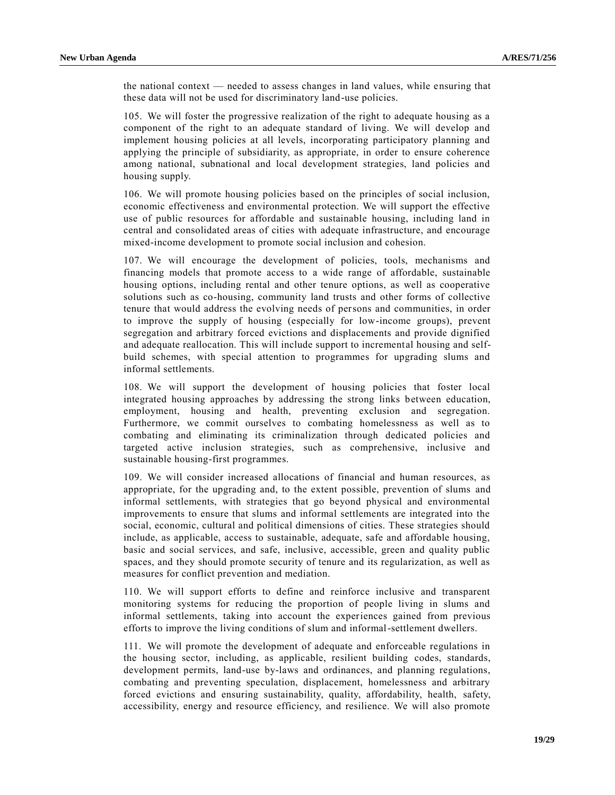the national context — needed to assess changes in land values, while ensuring that these data will not be used for discriminatory land-use policies.

105. We will foster the progressive realization of the right to adequate housing as a component of the right to an adequate standard of living. We will develop and implement housing policies at all levels, incorporating participatory planning and applying the principle of subsidiarity, as appropriate, in order to ensure coherence among national, subnational and local development strategies, land policies and housing supply.

106. We will promote housing policies based on the principles of social inclusion, economic effectiveness and environmental protection. We will support the effective use of public resources for affordable and sustainable housing, including land in central and consolidated areas of cities with adequate infrastructure, and encourage mixed-income development to promote social inclusion and cohesion.

107. We will encourage the development of policies, tools, mechanisms and financing models that promote access to a wide range of affordable, sustainable housing options, including rental and other tenure options, as well as cooperative solutions such as co-housing, community land trusts and other forms of collective tenure that would address the evolving needs of persons and communities, in order to improve the supply of housing (especially for low-income groups), prevent segregation and arbitrary forced evictions and displacements and provide dignified and adequate reallocation. This will include support to incremental housing and selfbuild schemes, with special attention to programmes for upgrading slums and informal settlements.

108. We will support the development of housing policies that foster local integrated housing approaches by addressing the strong links between education, employment, housing and health, preventing exclusion and segregation. Furthermore, we commit ourselves to combating homelessness as well as to combating and eliminating its criminalization through dedicated policies and targeted active inclusion strategies, such as comprehensive, inclusive and sustainable housing-first programmes.

109. We will consider increased allocations of financial and human resources, as appropriate, for the upgrading and, to the extent possible, prevention of slums and informal settlements, with strategies that go beyond physical and environmental improvements to ensure that slums and informal settlements are integrated into the social, economic, cultural and political dimensions of cities. These strategies should include, as applicable, access to sustainable, adequate, safe and affordable housing, basic and social services, and safe, inclusive, accessible, green and quality public spaces, and they should promote security of tenure and its regularization, as well as measures for conflict prevention and mediation.

110. We will support efforts to define and reinforce inclusive and transparent monitoring systems for reducing the proportion of people living in slums and informal settlements, taking into account the experiences gained from previous efforts to improve the living conditions of slum and informal-settlement dwellers.

111. We will promote the development of adequate and enforceable regulations in the housing sector, including, as applicable, resilient building codes, standards, development permits, land-use by-laws and ordinances, and planning regulations, combating and preventing speculation, displacement, homelessness and arbitrary forced evictions and ensuring sustainability, quality, affordability, health, safety, accessibility, energy and resource efficiency, and resilience. We will also promote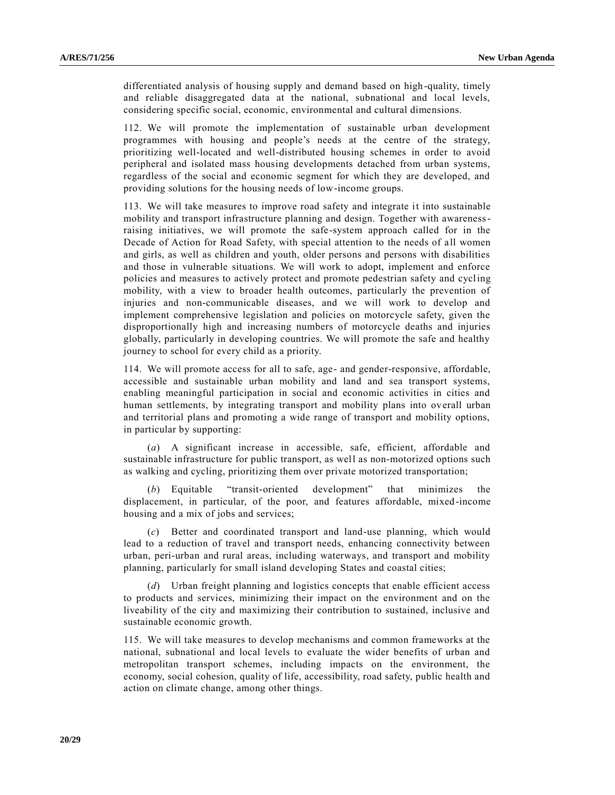differentiated analysis of housing supply and demand based on high-quality, timely and reliable disaggregated data at the national, subnational and local levels, considering specific social, economic, environmental and cultural dimensions.

112. We will promote the implementation of sustainable urban development programmes with housing and people's needs at the centre of the strategy, prioritizing well-located and well-distributed housing schemes in order to avoid peripheral and isolated mass housing developments detached from urban systems, regardless of the social and economic segment for which they are developed, and providing solutions for the housing needs of low-income groups.

113. We will take measures to improve road safety and integrate it into sustainable mobility and transport infrastructure planning and design. Together with awarenessraising initiatives, we will promote the safe-system approach called for in the Decade of Action for Road Safety, with special attention to the needs of all women and girls, as well as children and youth, older persons and persons with disabilities and those in vulnerable situations. We will work to adopt, implement and enforce policies and measures to actively protect and promote pedestrian safety and cycling mobility, with a view to broader health outcomes, particularly the prevention of injuries and non-communicable diseases, and we will work to develop and implement comprehensive legislation and policies on motorcycle safety, given the disproportionally high and increasing numbers of motorcycle deaths and injuries globally, particularly in developing countries. We will promote the safe and healthy journey to school for every child as a priority.

114. We will promote access for all to safe, age- and gender-responsive, affordable, accessible and sustainable urban mobility and land and sea transport systems, enabling meaningful participation in social and economic activities in cities and human settlements, by integrating transport and mobility plans into overall urban and territorial plans and promoting a wide range of transport and mobility options, in particular by supporting:

(*a*) A significant increase in accessible, safe, efficient, affordable and sustainable infrastructure for public transport, as well as non-motorized options such as walking and cycling, prioritizing them over private motorized transportation;

(*b*) Equitable "transit-oriented development" that minimizes the displacement, in particular, of the poor, and features affordable, mixed -income housing and a mix of jobs and services;

(*c*) Better and coordinated transport and land-use planning, which would lead to a reduction of travel and transport needs, enhancing connectivity between urban, peri-urban and rural areas, including waterways, and transport and mobility planning, particularly for small island developing States and coastal cities;

(*d*) Urban freight planning and logistics concepts that enable efficient access to products and services, minimizing their impact on the environment and on the liveability of the city and maximizing their contribution to sustained, inclusive and sustainable economic growth.

115. We will take measures to develop mechanisms and common frameworks at the national, subnational and local levels to evaluate the wider benefits of urban and metropolitan transport schemes, including impacts on the environment, the economy, social cohesion, quality of life, accessibility, road safety, public health and action on climate change, among other things.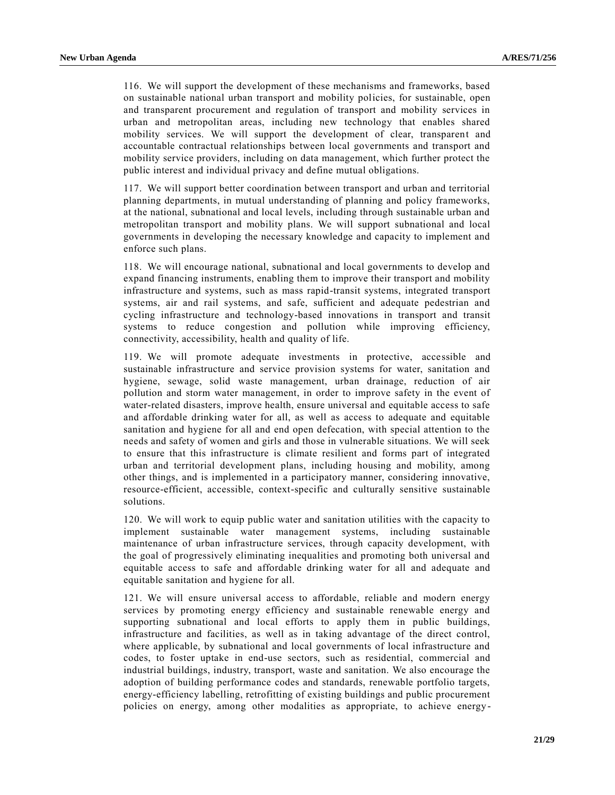116. We will support the development of these mechanisms and frameworks, based on sustainable national urban transport and mobility policies, for sustainable, open and transparent procurement and regulation of transport and mobility services in urban and metropolitan areas, including new technology that enables shared mobility services. We will support the development of clear, transparent and accountable contractual relationships between local governments and transport and mobility service providers, including on data management, which further protect the public interest and individual privacy and define mutual obligations.

117. We will support better coordination between transport and urban and territorial planning departments, in mutual understanding of planning and policy frameworks, at the national, subnational and local levels, including through sustainable urban and metropolitan transport and mobility plans. We will support subnational and local governments in developing the necessary knowledge and capacity to implement and enforce such plans.

118. We will encourage national, subnational and local governments to develop and expand financing instruments, enabling them to improve their transport and mobility infrastructure and systems, such as mass rapid-transit systems, integrated transport systems, air and rail systems, and safe, sufficient and adequate pedestrian and cycling infrastructure and technology-based innovations in transport and transit systems to reduce congestion and pollution while improving efficiency, connectivity, accessibility, health and quality of life.

119. We will promote adequate investments in protective, accessible and sustainable infrastructure and service provision systems for water, sanitation and hygiene, sewage, solid waste management, urban drainage, reduction of air pollution and storm water management, in order to improve safety in the event of water-related disasters, improve health, ensure universal and equitable access to safe and affordable drinking water for all, as well as access to adequate and equitable sanitation and hygiene for all and end open defecation, with special attention to the needs and safety of women and girls and those in vulnerable situations. We will seek to ensure that this infrastructure is climate resilient and forms part of integrated urban and territorial development plans, including housing and mobility, among other things, and is implemented in a participatory manner, considering innovative, resource-efficient, accessible, context-specific and culturally sensitive sustainable solutions.

120. We will work to equip public water and sanitation utilities with the capacity to implement sustainable water management systems, including sustainable maintenance of urban infrastructure services, through capacity development, with the goal of progressively eliminating inequalities and promoting both universal and equitable access to safe and affordable drinking water for all and adequate and equitable sanitation and hygiene for all.

121. We will ensure universal access to affordable, reliable and modern energy services by promoting energy efficiency and sustainable renewable energy and supporting subnational and local efforts to apply them in public buildings, infrastructure and facilities, as well as in taking advantage of the direct control, where applicable, by subnational and local governments of local infrastructure and codes, to foster uptake in end-use sectors, such as residential, commercial and industrial buildings, industry, transport, waste and sanitation. We also encourage the adoption of building performance codes and standards, renewable portfolio targets, energy-efficiency labelling, retrofitting of existing buildings and public procurement policies on energy, among other modalities as appropriate, to achieve energy -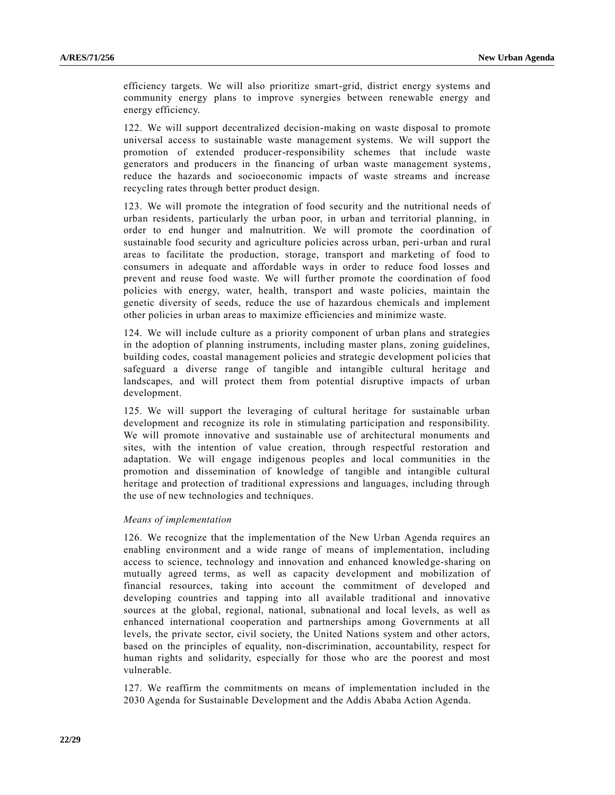efficiency targets. We will also prioritize smart-grid, district energy systems and community energy plans to improve synergies between renewable energy and energy efficiency.

122. We will support decentralized decision-making on waste disposal to promote universal access to sustainable waste management systems. We will support the promotion of extended producer-responsibility schemes that include waste generators and producers in the financing of urban waste management systems, reduce the hazards and socioeconomic impacts of waste streams and increase recycling rates through better product design.

123. We will promote the integration of food security and the nutritional needs of urban residents, particularly the urban poor, in urban and territorial planning, in order to end hunger and malnutrition. We will promote the coordination of sustainable food security and agriculture policies across urban, peri-urban and rural areas to facilitate the production, storage, transport and marketing of food to consumers in adequate and affordable ways in order to reduce food losses and prevent and reuse food waste. We will further promote the coordination of food policies with energy, water, health, transport and waste policies, maintain the genetic diversity of seeds, reduce the use of hazardous chemicals and implement other policies in urban areas to maximize efficiencies and minimize waste.

124. We will include culture as a priority component of urban plans and strategies in the adoption of planning instruments, including master plans, zoning guidelines, building codes, coastal management policies and strategic development policies that safeguard a diverse range of tangible and intangible cultural heritage and landscapes, and will protect them from potential disruptive impacts of urban development.

125. We will support the leveraging of cultural heritage for sustainable urban development and recognize its role in stimulating participation and responsibility. We will promote innovative and sustainable use of architectural monuments and sites, with the intention of value creation, through respectful restoration and adaptation. We will engage indigenous peoples and local communities in the promotion and dissemination of knowledge of tangible and intangible cultural heritage and protection of traditional expressions and languages, including through the use of new technologies and techniques.

#### *Means of implementation*

126. We recognize that the implementation of the New Urban Agenda requires an enabling environment and a wide range of means of implementation, including access to science, technology and innovation and enhanced knowledge-sharing on mutually agreed terms, as well as capacity development and mobilization of financial resources, taking into account the commitment of developed and developing countries and tapping into all available traditional and innovative sources at the global, regional, national, subnational and local levels, as well as enhanced international cooperation and partnerships among Governments at all levels, the private sector, civil society, the United Nations system and other actors, based on the principles of equality, non-discrimination, accountability, respect for human rights and solidarity, especially for those who are the poorest and most vulnerable.

127. We reaffirm the commitments on means of implementation included in the 2030 Agenda for Sustainable Development and the Addis Ababa Action Agenda.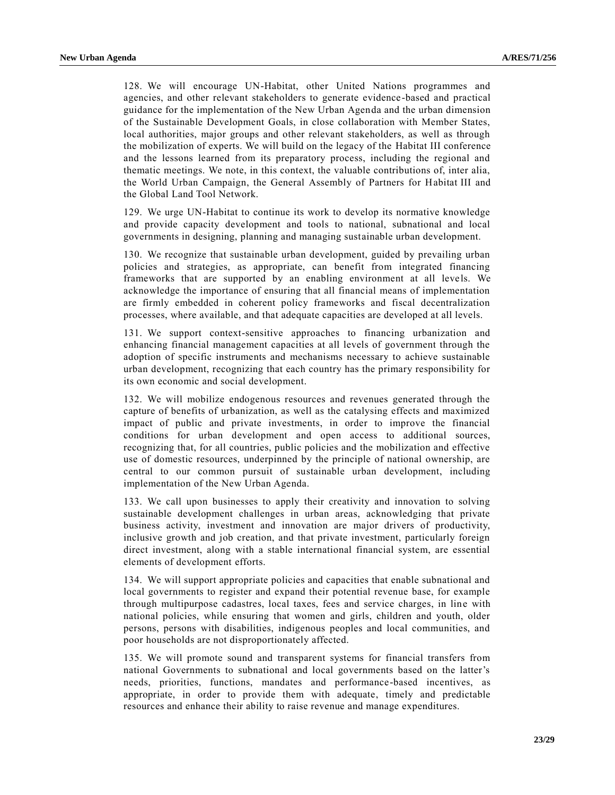128. We will encourage UN-Habitat, other United Nations programmes and agencies, and other relevant stakeholders to generate evidence-based and practical guidance for the implementation of the New Urban Agenda and the urban dimension of the Sustainable Development Goals, in close collaboration with Member States, local authorities, major groups and other relevant stakeholders, as well as through the mobilization of experts. We will build on the legacy of the Habitat III conference and the lessons learned from its preparatory process, including the regional and thematic meetings. We note, in this context, the valuable contributions of, inter alia, the World Urban Campaign, the General Assembly of Partners for Habitat III and the Global Land Tool Network.

129. We urge UN-Habitat to continue its work to develop its normative knowledge and provide capacity development and tools to national, subnational and local governments in designing, planning and managing sustainable urban development.

130. We recognize that sustainable urban development, guided by prevailing urban policies and strategies, as appropriate, can benefit from integrated financing frameworks that are supported by an enabling environment at all levels. We acknowledge the importance of ensuring that all financial means of implementation are firmly embedded in coherent policy frameworks and fiscal decentralization processes, where available, and that adequate capacities are developed at all levels.

131. We support context-sensitive approaches to financing urbanization and enhancing financial management capacities at all levels of government through the adoption of specific instruments and mechanisms necessary to achieve sustainable urban development, recognizing that each country has the primary responsibility for its own economic and social development.

132. We will mobilize endogenous resources and revenues generated through the capture of benefits of urbanization, as well as the catalysing effects and maximized impact of public and private investments, in order to improve the financial conditions for urban development and open access to additional sources, recognizing that, for all countries, public policies and the mobilization and effective use of domestic resources, underpinned by the principle of national ownership, are central to our common pursuit of sustainable urban development, including implementation of the New Urban Agenda.

133. We call upon businesses to apply their creativity and innovation to solving sustainable development challenges in urban areas, acknowledging that private business activity, investment and innovation are major drivers of productivity, inclusive growth and job creation, and that private investment, particularly foreign direct investment, along with a stable international financial system, are essential elements of development efforts.

134. We will support appropriate policies and capacities that enable subnational and local governments to register and expand their potential revenue base, for example through multipurpose cadastres, local taxes, fees and service charges, in line with national policies, while ensuring that women and girls, children and youth, older persons, persons with disabilities, indigenous peoples and local communities, and poor households are not disproportionately affected.

135. We will promote sound and transparent systems for financial transfers from national Governments to subnational and local governments based on the latter's needs, priorities, functions, mandates and performance-based incentives, as appropriate, in order to provide them with adequate, timely and predictable resources and enhance their ability to raise revenue and manage expenditures.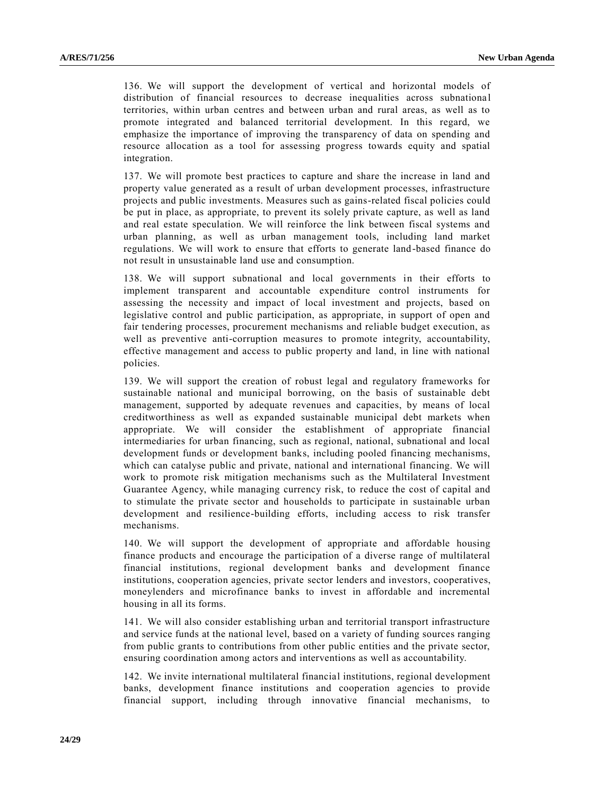136. We will support the development of vertical and horizontal models of distribution of financial resources to decrease inequalities across subnationa l territories, within urban centres and between urban and rural areas, as well as to promote integrated and balanced territorial development. In this regard, we emphasize the importance of improving the transparency of data on spending and resource allocation as a tool for assessing progress towards equity and spatial integration.

137. We will promote best practices to capture and share the increase in land and property value generated as a result of urban development processes, infrastructure projects and public investments. Measures such as gains-related fiscal policies could be put in place, as appropriate, to prevent its solely private capture, as well as land and real estate speculation. We will reinforce the link between fiscal systems and urban planning, as well as urban management tools, including land market regulations. We will work to ensure that efforts to generate land-based finance do not result in unsustainable land use and consumption.

138. We will support subnational and local governments in their efforts to implement transparent and accountable expenditure control instruments for assessing the necessity and impact of local investment and projects, based on legislative control and public participation, as appropriate, in support of open and fair tendering processes, procurement mechanisms and reliable budget execution, as well as preventive anti-corruption measures to promote integrity, accountability, effective management and access to public property and land, in line with national policies.

139. We will support the creation of robust legal and regulatory frameworks for sustainable national and municipal borrowing, on the basis of sustainable debt management, supported by adequate revenues and capacities, by means of local creditworthiness as well as expanded sustainable municipal debt markets when appropriate. We will consider the establishment of appropriate financial intermediaries for urban financing, such as regional, national, subnational and local development funds or development banks, including pooled financing mechanisms, which can catalyse public and private, national and international financing. We will work to promote risk mitigation mechanisms such as the Multilateral Investment Guarantee Agency, while managing currency risk, to reduce the cost of capital and to stimulate the private sector and households to participate in sustainable urban development and resilience-building efforts, including access to risk transfer mechanisms.

140. We will support the development of appropriate and affordable housing finance products and encourage the participation of a diverse range of multilateral financial institutions, regional development banks and development finance institutions, cooperation agencies, private sector lenders and investors, cooperatives, moneylenders and microfinance banks to invest in affordable and incremental housing in all its forms.

141. We will also consider establishing urban and territorial transport infrastructure and service funds at the national level, based on a variety of funding sources ranging from public grants to contributions from other public entities and the private sector, ensuring coordination among actors and interventions as well as accountability.

142. We invite international multilateral financial institutions, regional development banks, development finance institutions and cooperation agencies to provide financial support, including through innovative financial mechanisms, to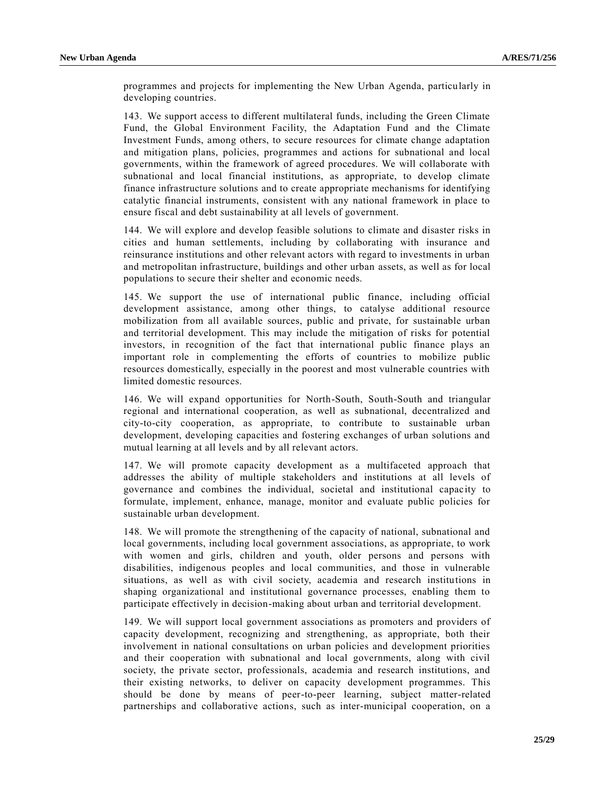programmes and projects for implementing the New Urban Agenda, particularly in developing countries.

143. We support access to different multilateral funds, including the Green Climate Fund, the Global Environment Facility, the Adaptation Fund and the Climate Investment Funds, among others, to secure resources for climate change adaptation and mitigation plans, policies, programmes and actions for subnational and local governments, within the framework of agreed procedures. We will collaborate with subnational and local financial institutions, as appropriate, to develop climate finance infrastructure solutions and to create appropriate mechanisms for identifying catalytic financial instruments, consistent with any national framework in place to ensure fiscal and debt sustainability at all levels of government.

144. We will explore and develop feasible solutions to climate and disaster risks in cities and human settlements, including by collaborating with insurance and reinsurance institutions and other relevant actors with regard to investments in urban and metropolitan infrastructure, buildings and other urban assets, as well as for local populations to secure their shelter and economic needs.

145. We support the use of international public finance, including official development assistance, among other things, to catalyse additional resource mobilization from all available sources, public and private, for sustainable urban and territorial development. This may include the mitigation of risks for potential investors, in recognition of the fact that international public finance plays an important role in complementing the efforts of countries to mobilize public resources domestically, especially in the poorest and most vulnerable countries with limited domestic resources.

146. We will expand opportunities for North-South, South-South and triangular regional and international cooperation, as well as subnational, decentralized and city-to-city cooperation, as appropriate, to contribute to sustainable urban development, developing capacities and fostering exchanges of urban solutions and mutual learning at all levels and by all relevant actors.

147. We will promote capacity development as a multifaceted approach that addresses the ability of multiple stakeholders and institutions at all levels of governance and combines the individual, societal and institutional capac ity to formulate, implement, enhance, manage, monitor and evaluate public policies for sustainable urban development.

148. We will promote the strengthening of the capacity of national, subnational and local governments, including local government associations, as appropriate, to work with women and girls, children and youth, older persons and persons with disabilities, indigenous peoples and local communities, and those in vulnerable situations, as well as with civil society, academia and research institutions in shaping organizational and institutional governance processes, enabling them to participate effectively in decision-making about urban and territorial development.

149. We will support local government associations as promoters and providers of capacity development, recognizing and strengthening, as appropriate, both their involvement in national consultations on urban policies and development priorities and their cooperation with subnational and local governments, along with civil society, the private sector, professionals, academia and research institutions, and their existing networks, to deliver on capacity development programmes. This should be done by means of peer-to-peer learning, subject matter-related partnerships and collaborative actions, such as inter-municipal cooperation, on a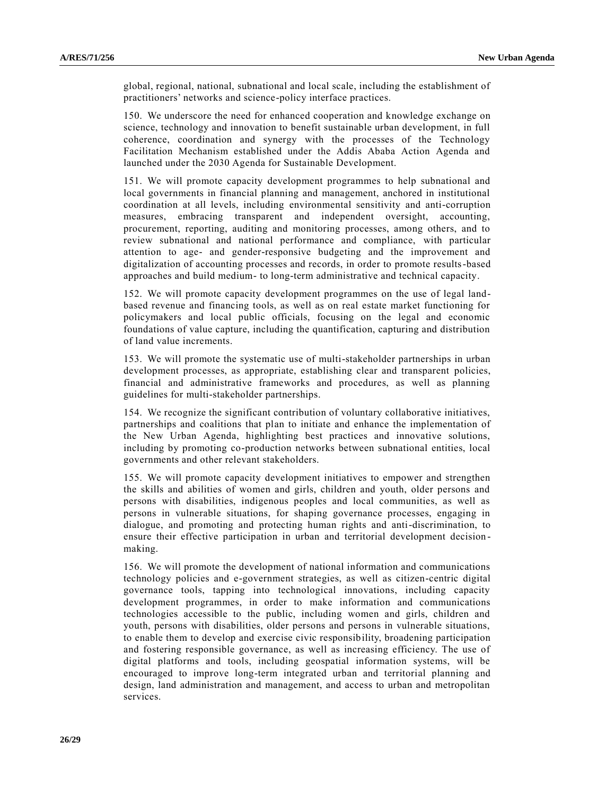global, regional, national, subnational and local scale, including the establishment of practitioners' networks and science-policy interface practices.

150. We underscore the need for enhanced cooperation and knowledge exchange on science, technology and innovation to benefit sustainable urban development, in full coherence, coordination and synergy with the processes of the Technology Facilitation Mechanism established under the Addis Ababa Action Agenda and launched under the 2030 Agenda for Sustainable Development.

151. We will promote capacity development programmes to help subnational and local governments in financial planning and management, anchored in institutional coordination at all levels, including environmental sensitivity and anti-corruption measures, embracing transparent and independent oversight, accounting, procurement, reporting, auditing and monitoring processes, among others, and to review subnational and national performance and compliance, with particular attention to age- and gender-responsive budgeting and the improvement and digitalization of accounting processes and records, in order to promote results-based approaches and build medium- to long-term administrative and technical capacity.

152. We will promote capacity development programmes on the use of legal landbased revenue and financing tools, as well as on real estate market functioning for policymakers and local public officials, focusing on the legal and economic foundations of value capture, including the quantification, capturing and distribution of land value increments.

153. We will promote the systematic use of multi-stakeholder partnerships in urban development processes, as appropriate, establishing clear and transparent policies, financial and administrative frameworks and procedures, as well as planning guidelines for multi-stakeholder partnerships.

154. We recognize the significant contribution of voluntary collaborative initiatives, partnerships and coalitions that plan to initiate and enhance the implementation of the New Urban Agenda, highlighting best practices and innovative solutions, including by promoting co-production networks between subnational entities, local governments and other relevant stakeholders.

155. We will promote capacity development initiatives to empower and strengthen the skills and abilities of women and girls, children and youth, older persons and persons with disabilities, indigenous peoples and local communities, as well as persons in vulnerable situations, for shaping governance processes, engaging in dialogue, and promoting and protecting human rights and anti-discrimination, to ensure their effective participation in urban and territorial development decision making.

156. We will promote the development of national information and communications technology policies and e-government strategies, as well as citizen-centric digital governance tools, tapping into technological innovations, including capacity development programmes, in order to make information and communications technologies accessible to the public, including women and girls, children and youth, persons with disabilities, older persons and persons in vulnerable situations, to enable them to develop and exercise civic responsibility, broadening participation and fostering responsible governance, as well as increasing efficiency. The use of digital platforms and tools, including geospatial information systems, will be encouraged to improve long-term integrated urban and territorial planning and design, land administration and management, and access to urban and metropolitan services.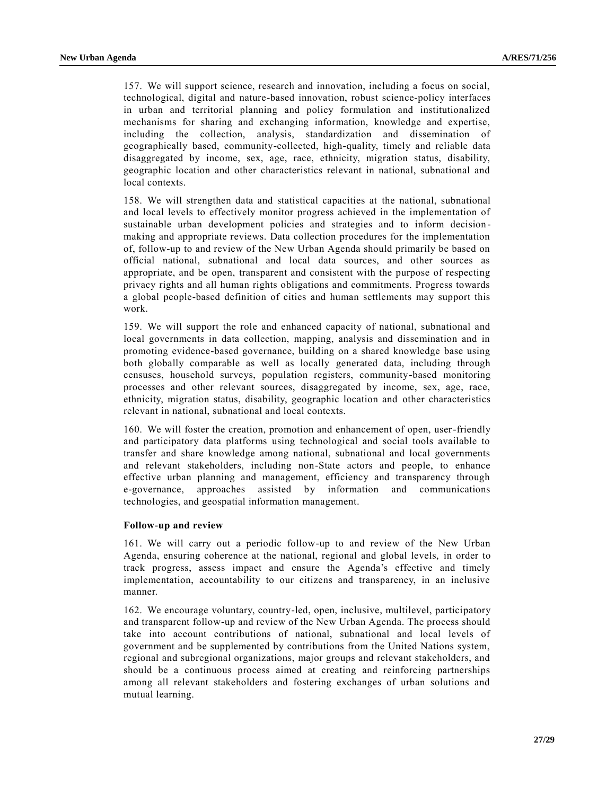157. We will support science, research and innovation, including a focus on social, technological, digital and nature-based innovation, robust science-policy interfaces in urban and territorial planning and policy formulation and institutionalized mechanisms for sharing and exchanging information, knowledge and expertise, including the collection, analysis, standardization and dissemination of geographically based, community-collected, high-quality, timely and reliable data disaggregated by income, sex, age, race, ethnicity, migration status, disability, geographic location and other characteristics relevant in national, subnational and local contexts.

158. We will strengthen data and statistical capacities at the national, subnational and local levels to effectively monitor progress achieved in the implementation of sustainable urban development policies and strategies and to inform decision making and appropriate reviews. Data collection procedures for the implementation of, follow-up to and review of the New Urban Agenda should primarily be based on official national, subnational and local data sources, and other sources as appropriate, and be open, transparent and consistent with the purpose of respecting privacy rights and all human rights obligations and commitments. Progress towards a global people-based definition of cities and human settlements may support this work.

159. We will support the role and enhanced capacity of national, subnational and local governments in data collection, mapping, analysis and dissemination and in promoting evidence-based governance, building on a shared knowledge base using both globally comparable as well as locally generated data, including through censuses, household surveys, population registers, community-based monitoring processes and other relevant sources, disaggregated by income, sex, age, race, ethnicity, migration status, disability, geographic location and other characteristics relevant in national, subnational and local contexts.

160. We will foster the creation, promotion and enhancement of open, user-friendly and participatory data platforms using technological and social tools available to transfer and share knowledge among national, subnational and local governments and relevant stakeholders, including non-State actors and people, to enhance effective urban planning and management, efficiency and transparency through e-governance, approaches assisted by information and communications technologies, and geospatial information management.

# **Follow-up and review**

161. We will carry out a periodic follow-up to and review of the New Urban Agenda, ensuring coherence at the national, regional and global levels, in order to track progress, assess impact and ensure the Agenda's effective and timely implementation, accountability to our citizens and transparency, in an inclusive manner.

162. We encourage voluntary, country-led, open, inclusive, multilevel, participatory and transparent follow-up and review of the New Urban Agenda. The process should take into account contributions of national, subnational and local levels of government and be supplemented by contributions from the United Nations system, regional and subregional organizations, major groups and relevant stakeholders, and should be a continuous process aimed at creating and reinforcing partnerships among all relevant stakeholders and fostering exchanges of urban solutions and mutual learning.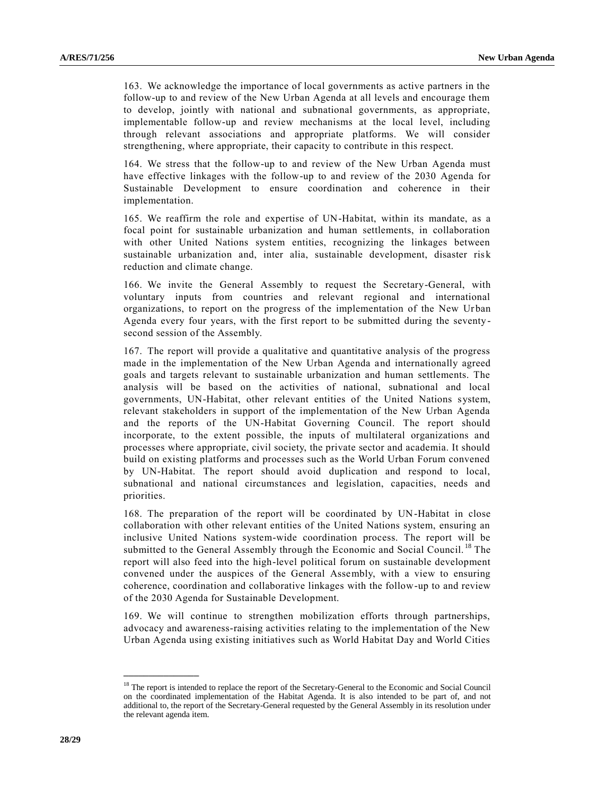163. We acknowledge the importance of local governments as active partners in the follow-up to and review of the New Urban Agenda at all levels and encourage them to develop, jointly with national and subnational governments, as appropriate, implementable follow-up and review mechanisms at the local level, including through relevant associations and appropriate platforms. We will consider strengthening, where appropriate, their capacity to contribute in this respect.

164. We stress that the follow-up to and review of the New Urban Agenda must have effective linkages with the follow-up to and review of the 2030 Agenda for Sustainable Development to ensure coordination and coherence in their implementation.

165. We reaffirm the role and expertise of UN-Habitat, within its mandate, as a focal point for sustainable urbanization and human settlements, in collaboration with other United Nations system entities, recognizing the linkages between sustainable urbanization and, inter alia, sustainable development, disaster risk reduction and climate change.

166. We invite the General Assembly to request the Secretary-General, with voluntary inputs from countries and relevant regional and international organizations, to report on the progress of the implementation of the New Ur ban Agenda every four years, with the first report to be submitted during the seventy second session of the Assembly.

167. The report will provide a qualitative and quantitative analysis of the progress made in the implementation of the New Urban Agenda and internationally agreed goals and targets relevant to sustainable urbanization and human settlements. The analysis will be based on the activities of national, subnational and local governments, UN-Habitat, other relevant entities of the United Nations system, relevant stakeholders in support of the implementation of the New Urban Agenda and the reports of the UN-Habitat Governing Council. The report should incorporate, to the extent possible, the inputs of multilateral organizations and processes where appropriate, civil society, the private sector and academia. It should build on existing platforms and processes such as the World Urban Forum convened by UN-Habitat. The report should avoid duplication and respond to local, subnational and national circumstances and legislation, capacities, needs and priorities.

168. The preparation of the report will be coordinated by UN-Habitat in close collaboration with other relevant entities of the United Nations system, ensuring an inclusive United Nations system-wide coordination process. The report will be submitted to the General Assembly through the Economic and Social Council.<sup>18</sup> The report will also feed into the high-level political forum on sustainable development convened under the auspices of the General Assembly, with a view to ensuring coherence, coordination and collaborative linkages with the follow-up to and review of the 2030 Agenda for Sustainable Development.

169. We will continue to strengthen mobilization efforts through partnerships, advocacy and awareness-raising activities relating to the implementation of the New Urban Agenda using existing initiatives such as World Habitat Day and World Cities

<sup>&</sup>lt;sup>18</sup> The report is intended to replace the report of the Secretary-General to the Economic and Social Council on the coordinated implementation of the Habitat Agenda. It is also intended to be part of, and not additional to, the report of the Secretary-General requested by the General Assembly in its resolution under the relevant agenda item.